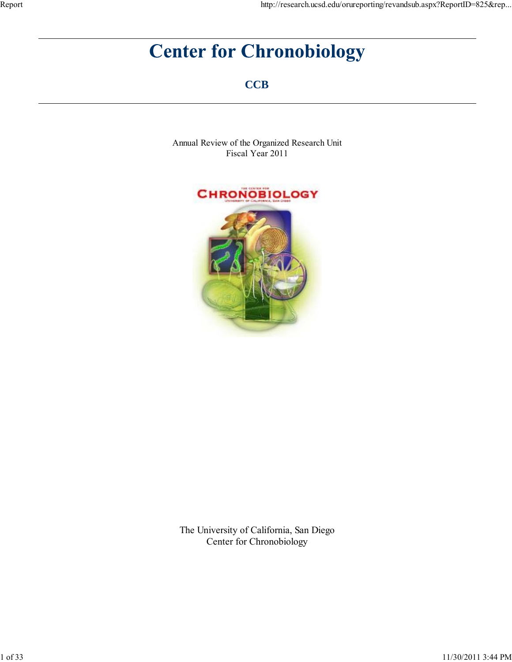# **Center for Chronobiology**

**CCB**

Annual Review of the Organized Research Unit Fiscal Year 2011



The University of California, San Diego Center for Chronobiology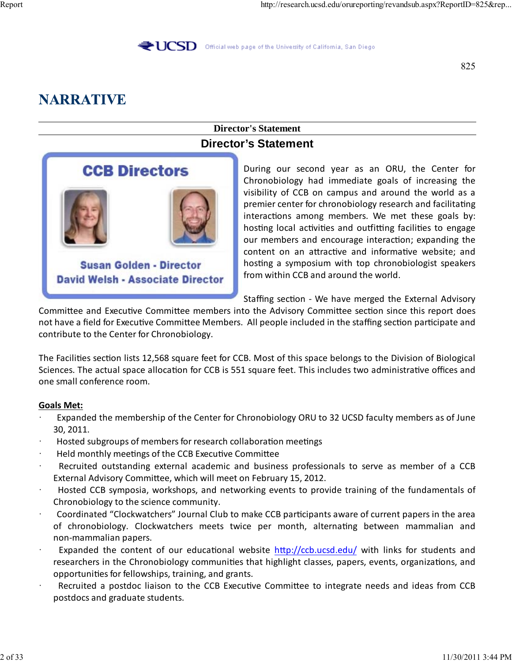**UCSD** Official web page of the University of California, San Diego

825

# **NARRATIVE**

### **Director's Statement Director's Statement**



During our second year as an ORU, the Center for Chronobiology had immediate goals of increasing the visibility of CCB on campus and around the world as a premier center for chronobiology research and facilitating interactions among members. We met these goals by: hosting local activities and outfitting facilities to engage our members and encourage interaction; expanding the content on an attractive and informative website; and hosting a symposium with top chronobiologist speakers from within CCB and around the world.

Staffing section ‐ We have merged the External Advisory

Committee and Executive Committee members into the Advisory Committee section since this report does not have a field for Executive Committee Members. All people included in the staffing section participate and contribute to the Center for Chronobiology.

The Facilities section lists 12,568 square feet for CCB. Most of this space belongs to the Division of Biological Sciences. The actual space allocation for CCB is 551 square feet. This includes two administrative offices and one small conference room.

#### **Goals Met:**

- Expanded the membership of the Center for Chronobiology ORU to 32 UCSD faculty members as of June 30, 2011.
- Hosted subgroups of members for research collaboration meetings
- · Held monthly meetings of the CCB Executive Committee
- Recruited outstanding external academic and business professionals to serve as member of a CCB External Advisory Committee, which will meet on February 15, 2012.
- · Hosted CCB symposia, workshops, and networking events to provide training of the fundamentals of Chronobiology to the science community.
- · Coordinated "Clockwatchers" Journal Club to make CCB participants aware of current papers in the area of chronobiology. Clockwatchers meets twice per month, alternating between mammalian and non‐mammalian papers.
- Expanded the content of our educational website http://ccb.ucsd.edu/ with links for students and researchers in the Chronobiology communities that highlight classes, papers, events, organizations, and opportunities for fellowships, training, and grants.
- Recruited a postdoc liaison to the CCB Executive Committee to integrate needs and ideas from CCB postdocs and graduate students.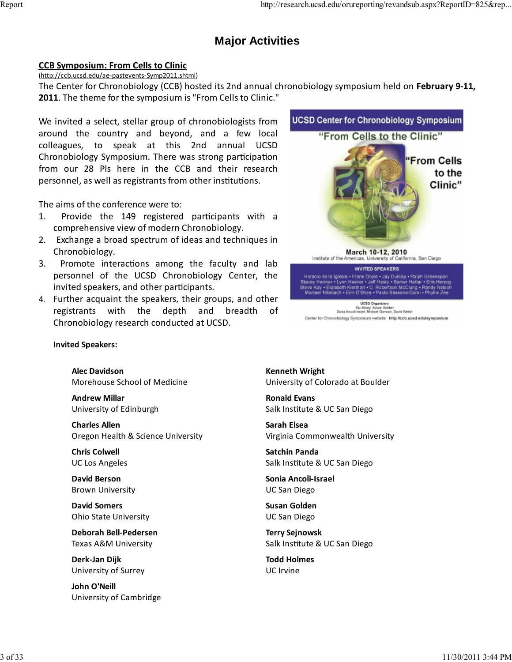# **Major Activities**

#### **CCB Symposium: From Cells to Clinic**

(http://ccb.ucsd.edu/ae‐pastevents‐Symp2011.shtml)

The Center for Chronobiology (CCB) hosted its 2nd annual chronobiology symposium held on **February 9‐11, 2011**. The theme for the symposium is "From Cells to Clinic."

We invited a select, stellar group of chronobiologists from around the country and beyond, and a few local colleagues, to speak at this 2nd annual UCSD Chronobiology Symposium. There was strong participation from our 28 PIs here in the CCB and their research personnel, as well as registrants from other institutions.

The aims of the conference were to:

- 1. Provide the 149 registered participants with a comprehensive view of modern Chronobiology.
- 2. Exchange a broad spectrum of ideas and techniques in Chronobiology.
- 3. Promote interactions among the faculty and lab personnel of the UCSD Chronobiology Center, the invited speakers, and other participants.
- 4. Further acquaint the speakers, their groups, and other registrants with the depth and breadth of Chronobiology research conducted at UCSD.



Center for Chronobiology Symposium website: http://ccb.ucsd.edu/symposium

**Invited Speakers:**

**Alec Davidson** Morehouse School of Medicine

**Andrew Millar** University of Edinburgh

**Charles Allen** Oregon Health & Science University

**Chris Colwell** UC Los Angeles

**David Berson** Brown University

**David Somers** Ohio State University

**Deborah Bell‐Pedersen** Texas A&M University

**Derk‐Jan Dijk** University of Surrey

**John O'Neill** University of Cambridge **Kenneth Wright** University of Colorado at Boulder

**Ronald Evans** Salk Institute & UC San Diego

**Sarah Elsea** Virginia Commonwealth University

**Satchin Panda** Salk Institute & UC San Diego

**Sonia Ancoli‐Israel** UC San Diego

**Susan Golden** UC San Diego

**Terry Sejnowsk** Salk Institute & UC San Diego

**Todd Holmes** UC Irvine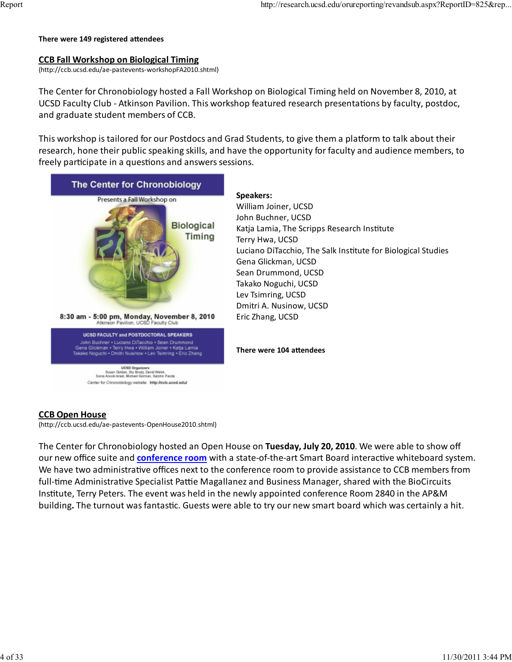#### **There were 149 registered attendees**

#### **CCB Fall Workshop on Biological Timing**

(http://ccb.ucsd.edu/ae‐pastevents‐workshopFA2010.shtml)

The Center for Chronobiology hosted a Fall Workshop on Biological Timing held on November 8, 2010, at UCSD Faculty Club ‐ Atkinson Pavilion. This workshop featured research presentations by faculty, postdoc, and graduate student members of CCB.

This workshop is tailored for our Postdocs and Grad Students, to give them a platform to talk about their research, hone their public speaking skills, and have the opportunity for faculty and audience members, to freely participate in a questions and answers sessions.



#### **CCB Open House**

(http://ccb.ucsd.edu/ae‐pastevents‐OpenHouse2010.shtml)

The Center for Chronobiology hosted an Open House on **Tuesday, July 20, 2010**. We were able to show off our new office suite and **conference room** with a state‐of‐the‐art Smart Board interactive whiteboard system. We have two administrative offices next to the conference room to provide assistance to CCB members from full-time Administrative Specialist Pattie Magallanez and Business Manager, shared with the BioCircuits Institute, Terry Peters. The event was held in the newly appointed conference Room 2840 in the AP&M building**.** The turnout was fantastic. Guests were able to try our new smart board which was certainly a hit.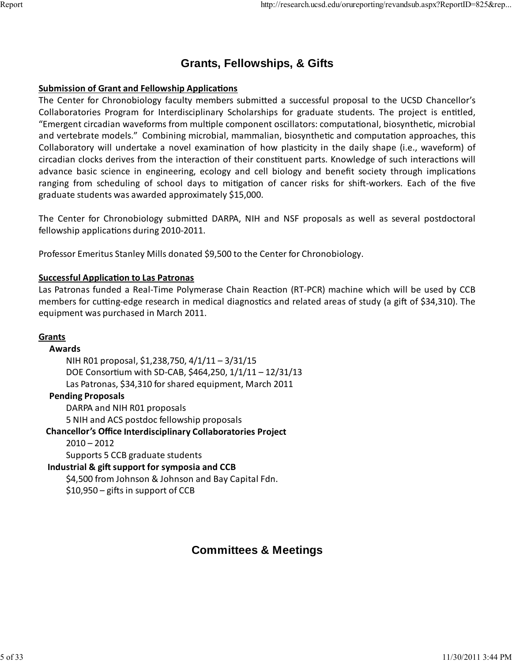## **Grants, Fellowships, & Gifts**

#### **Submission of Grant and Fellowship Applications**

The Center for Chronobiology faculty members submitted a successful proposal to the UCSD Chancellor's Collaboratories Program for Interdisciplinary Scholarships for graduate students. The project is entitled, "Emergent circadian waveforms from multiple component oscillators: computational, biosynthetic, microbial and vertebrate models." Combining microbial, mammalian, biosynthetic and computation approaches, this Collaboratory will undertake a novel examination of how plasticity in the daily shape (i.e., waveform) of circadian clocks derives from the interaction of their constituent parts. Knowledge of such interactions will advance basic science in engineering, ecology and cell biology and benefit society through implications ranging from scheduling of school days to mitigation of cancer risks for shift-workers. Each of the five graduate students was awarded approximately \$15,000.

The Center for Chronobiology submitted DARPA, NIH and NSF proposals as well as several postdoctoral fellowship applications during 2010‐2011.

Professor Emeritus Stanley Mills donated \$9,500 to the Center for Chronobiology.

#### **Successful Application to Las Patronas**

Las Patronas funded a Real‐Time Polymerase Chain Reaction (RT‐PCR) machine which will be used by CCB members for cutting‐edge research in medical diagnostics and related areas of study (a gift of \$34,310). The equipment was purchased in March 2011.

#### **Grants**

 **Awards** NIH R01 proposal, \$1,238,750, 4/1/11 – 3/31/15 DOE Consortium with SD‐CAB, \$464,250, 1/1/11 – 12/31/13 Las Patronas, \$34,310 for shared equipment, March 2011 **Pending Proposals** DARPA and NIH R01 proposals 5 NIH and ACS postdoc fellowship proposals **Chancellor's Office Interdisciplinary Collaboratories Project**  $2010 - 2012$ Supports 5 CCB graduate students **Industrial & gift support for symposia and CCB** \$4,500 from Johnson & Johnson and Bay Capital Fdn. \$10,950 – gifts in support of CCB

## **Committees & Meetings**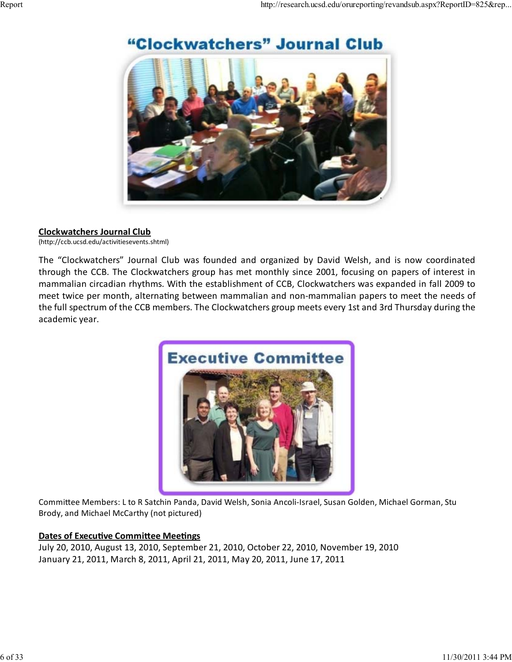

# "Clockwatchers" Journal Club

#### **Clockwatchers Journal Club**

(http://ccb.ucsd.edu/activitiesevents.shtml)

The "Clockwatchers" Journal Club was founded and organized by David Welsh, and is now coordinated through the CCB. The Clockwatchers group has met monthly since 2001, focusing on papers of interest in mammalian circadian rhythms. With the establishment of CCB, Clockwatchers was expanded in fall 2009 to meet twice per month, alternating between mammalian and non-mammalian papers to meet the needs of the full spectrum of the CCB members. The Clockwatchers group meets every 1st and 3rd Thursday during the academic year.



Committee Members: L to R Satchin Panda, David Welsh, Sonia Ancoli‐Israel, Susan Golden, Michael Gorman, Stu Brody, and Michael McCarthy (not pictured)

#### **Dates of Executive Committee Meetings**

July 20, 2010, August 13, 2010, September 21, 2010, October 22, 2010, November 19, 2010 January 21, 2011, March 8, 2011, April 21, 2011, May 20, 2011, June 17, 2011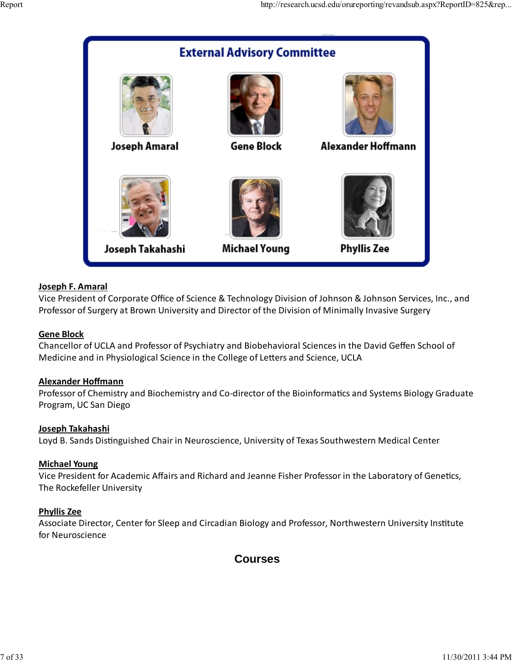

#### **Joseph F. Amaral**

Vice President of Corporate Office of Science & Technology Division of Johnson & Johnson Services, Inc., and Professor of Surgery at Brown University and Director of the Division of Minimally Invasive Surgery

#### **Gene Block**

Chancellor of UCLA and Professor of Psychiatry and Biobehavioral Sciences in the David Geffen School of Medicine and in Physiological Science in the College of Letters and Science, UCLA

#### **Alexander Hoffmann**

Professor of Chemistry and Biochemistry and Co‐director of the Bioinformatics and Systems Biology Graduate Program, UC San Diego

#### **Joseph Takahashi**

Loyd B. Sands Distinguished Chair in Neuroscience, University of Texas Southwestern Medical Center

#### **Michael Young**

Vice President for Academic Affairs and Richard and Jeanne Fisher Professor in the Laboratory of Genetics, The Rockefeller University

#### **Phyllis Zee**

Associate Director, Center for Sleep and Circadian Biology and Professor, Northwestern University Institute for Neuroscience

### **Courses**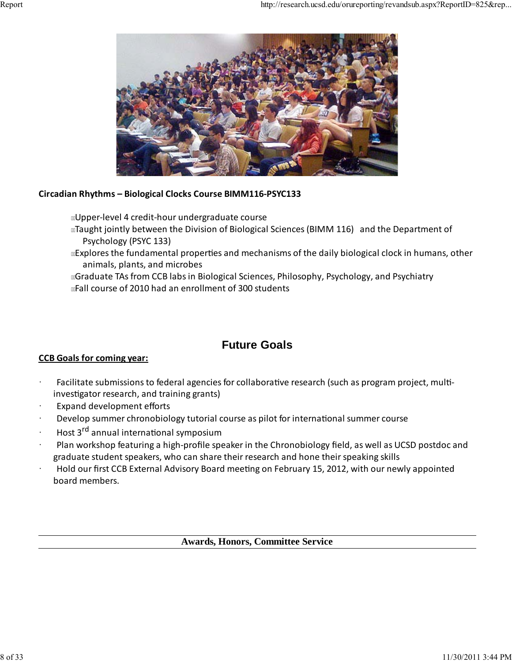

#### **Circadian Rhythms – Biological Clocks Course BIMM116‐PSYC133**

Upper‐level 4 credit‐hour undergraduate course

- raught jointly between the Division of Biological Sciences (BIMM 116) and the Department of Psychology (PSYC 133)
- Explores the fundamental properties and mechanisms of the daily biological clock in humans, other animals, plants, and microbes

Graduate TAs from CCB labs in Biological Sciences, Philosophy, Psychology, and Psychiatry

Fall course of 2010 had an enrollment of 300 students

## **Future Goals**

#### **CCB Goals for coming year:**

- Facilitate submissions to federal agencies for collaborative research (such as program project, multiinvestigator research, and training grants)
- Expand development efforts
- Develop summer chronobiology tutorial course as pilot for international summer course
- · Host 3rd annual international symposium
- · Plan workshop featuring a high‐profile speaker in the Chronobiology field, as well as UCSD postdoc and graduate student speakers, who can share their research and hone their speaking skills
- · Hold our first CCB External Advisory Board meeting on February 15, 2012, with our newly appointed board members.

**Awards, Honors, Committee Service**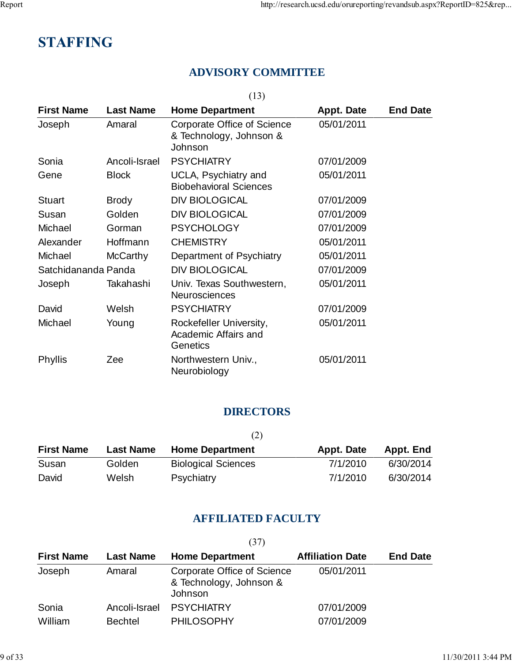# **STAFFING**

## **ADVISORY COMMITTEE**

(13)

| <b>First Name</b>   | <b>Last Name</b> | <b>Home Department</b>                                            | <b>Appt. Date</b> | <b>End Date</b> |
|---------------------|------------------|-------------------------------------------------------------------|-------------------|-----------------|
| Joseph              | Amaral           | Corporate Office of Science<br>& Technology, Johnson &<br>Johnson | 05/01/2011        |                 |
| Sonia               | Ancoli-Israel    | <b>PSYCHIATRY</b>                                                 | 07/01/2009        |                 |
| Gene                | <b>Block</b>     | UCLA, Psychiatry and<br><b>Biobehavioral Sciences</b>             | 05/01/2011        |                 |
| <b>Stuart</b>       | <b>Brody</b>     | <b>DIV BIOLOGICAL</b>                                             | 07/01/2009        |                 |
| Susan               | Golden           | <b>DIV BIOLOGICAL</b>                                             | 07/01/2009        |                 |
| Michael             | Gorman           | <b>PSYCHOLOGY</b>                                                 | 07/01/2009        |                 |
| Alexander           | Hoffmann         | <b>CHEMISTRY</b>                                                  | 05/01/2011        |                 |
| Michael             | McCarthy         | Department of Psychiatry                                          | 05/01/2011        |                 |
| Satchidananda Panda |                  | <b>DIV BIOLOGICAL</b>                                             | 07/01/2009        |                 |
| Joseph              | Takahashi        | Univ. Texas Southwestern,<br><b>Neurosciences</b>                 | 05/01/2011        |                 |
| David               | Welsh            | <b>PSYCHIATRY</b>                                                 | 07/01/2009        |                 |
| Michael             | Young            | Rockefeller University,<br>Academic Affairs and<br>Genetics       | 05/01/2011        |                 |
| Phyllis             | Zee              | Northwestern Univ.,<br>Neurobiology                               | 05/01/2011        |                 |

### **DIRECTORS**

|                   |                  | (2)                        |            |           |
|-------------------|------------------|----------------------------|------------|-----------|
| <b>First Name</b> | <b>Last Name</b> | <b>Home Department</b>     | Appt. Date | Appt. End |
| Susan             | Golden           | <b>Biological Sciences</b> | 7/1/2010   | 6/30/2014 |
| David             | Welsh            | Psychiatry                 | 7/1/2010   | 6/30/2014 |

### **AFFILIATED FACULTY**

|                   |                  | (37)                                                              |                         |                 |
|-------------------|------------------|-------------------------------------------------------------------|-------------------------|-----------------|
| <b>First Name</b> | <b>Last Name</b> | <b>Home Department</b>                                            | <b>Affiliation Date</b> | <b>End Date</b> |
| Joseph            | Amaral           | Corporate Office of Science<br>& Technology, Johnson &<br>Johnson | 05/01/2011              |                 |
| Sonia             | Ancoli-Israel    | <b>PSYCHIATRY</b>                                                 | 07/01/2009              |                 |
| William           | <b>Bechtel</b>   | <b>PHILOSOPHY</b>                                                 | 07/01/2009              |                 |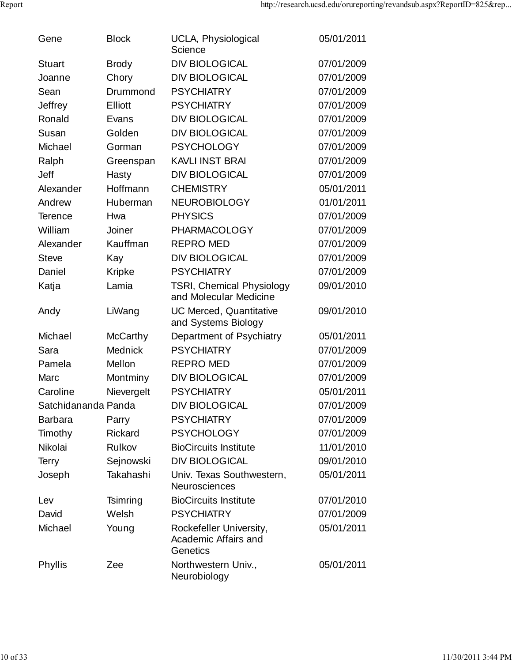| Gene                | <b>Block</b>    | UCLA, Physiological<br>Science                              | 05/01/2011 |
|---------------------|-----------------|-------------------------------------------------------------|------------|
| <b>Stuart</b>       | <b>Brody</b>    | <b>DIV BIOLOGICAL</b>                                       | 07/01/2009 |
| Joanne              | Chory           | <b>DIV BIOLOGICAL</b>                                       | 07/01/2009 |
| Sean                | Drummond        | <b>PSYCHIATRY</b>                                           | 07/01/2009 |
| Jeffrey             | <b>Elliott</b>  | <b>PSYCHIATRY</b>                                           | 07/01/2009 |
| Ronald              | Evans           | <b>DIV BIOLOGICAL</b>                                       | 07/01/2009 |
| Susan               | Golden          | <b>DIV BIOLOGICAL</b>                                       | 07/01/2009 |
| Michael             | Gorman          | <b>PSYCHOLOGY</b>                                           | 07/01/2009 |
| Ralph               | Greenspan       | <b>KAVLI INST BRAI</b>                                      | 07/01/2009 |
| Jeff                | Hasty           | <b>DIV BIOLOGICAL</b>                                       | 07/01/2009 |
| Alexander           | Hoffmann        | <b>CHEMISTRY</b>                                            | 05/01/2011 |
| Andrew              | Huberman        | <b>NEUROBIOLOGY</b>                                         | 01/01/2011 |
| <b>Terence</b>      | Hwa             | <b>PHYSICS</b>                                              | 07/01/2009 |
| William             | Joiner          | <b>PHARMACOLOGY</b>                                         | 07/01/2009 |
| Alexander           | Kauffman        | <b>REPRO MED</b>                                            | 07/01/2009 |
| <b>Steve</b>        | Kay             | <b>DIV BIOLOGICAL</b>                                       | 07/01/2009 |
| Daniel              | <b>Kripke</b>   | <b>PSYCHIATRY</b>                                           | 07/01/2009 |
| Katja               | Lamia           | <b>TSRI, Chemical Physiology</b><br>and Molecular Medicine  | 09/01/2010 |
| Andy                | LiWang          | UC Merced, Quantitative<br>and Systems Biology              | 09/01/2010 |
| Michael             | <b>McCarthy</b> | Department of Psychiatry                                    | 05/01/2011 |
| Sara                | Mednick         | <b>PSYCHIATRY</b>                                           | 07/01/2009 |
| Pamela              | Mellon          | <b>REPRO MED</b>                                            | 07/01/2009 |
| Marc                | Montminy        | <b>DIV BIOLOGICAL</b>                                       | 07/01/2009 |
| Caroline            | Nievergelt      | <b>PSYCHIATRY</b>                                           | 05/01/2011 |
| Satchidananda Panda |                 | <b>DIV BIOLOGICAL</b>                                       | 07/01/2009 |
| <b>Barbara</b>      | Parry           | <b>PSYCHIATRY</b>                                           | 07/01/2009 |
| Timothy             | <b>Rickard</b>  | <b>PSYCHOLOGY</b>                                           | 07/01/2009 |
| Nikolai             | Rulkov          | <b>BioCircuits Institute</b>                                | 11/01/2010 |
| <b>Terry</b>        | Sejnowski       | <b>DIV BIOLOGICAL</b>                                       | 09/01/2010 |
| Joseph              | Takahashi       | Univ. Texas Southwestern,<br><b>Neurosciences</b>           | 05/01/2011 |
| Lev                 | Tsimring        | <b>BioCircuits Institute</b>                                | 07/01/2010 |
| David               | Welsh           | <b>PSYCHIATRY</b>                                           | 07/01/2009 |
| Michael             | Young           | Rockefeller University,<br>Academic Affairs and<br>Genetics | 05/01/2011 |
| Phyllis             | Zee             | Northwestern Univ.,<br>Neurobiology                         | 05/01/2011 |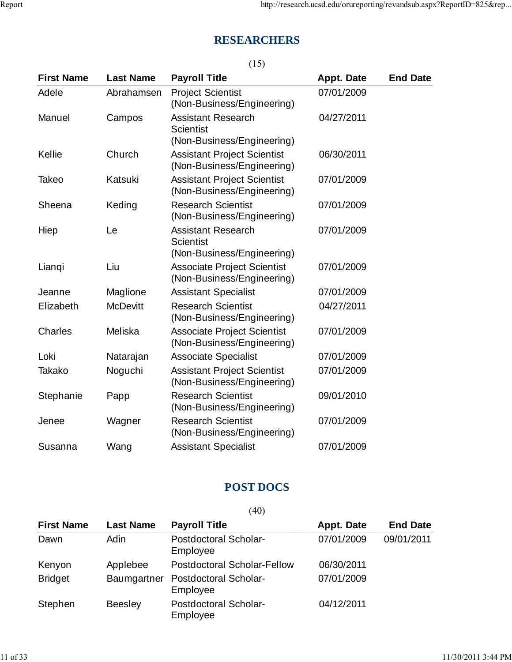# **RESEARCHERS**

|                   |                  | (15)                                                                        |                   |                 |
|-------------------|------------------|-----------------------------------------------------------------------------|-------------------|-----------------|
| <b>First Name</b> | <b>Last Name</b> | <b>Payroll Title</b>                                                        | <b>Appt. Date</b> | <b>End Date</b> |
| Adele             | Abrahamsen       | <b>Project Scientist</b><br>(Non-Business/Engineering)                      | 07/01/2009        |                 |
| Manuel            | Campos           | <b>Assistant Research</b><br><b>Scientist</b><br>(Non-Business/Engineering) | 04/27/2011        |                 |
| Kellie            | Church           | <b>Assistant Project Scientist</b><br>(Non-Business/Engineering)            | 06/30/2011        |                 |
| Takeo             | Katsuki          | <b>Assistant Project Scientist</b><br>(Non-Business/Engineering)            | 07/01/2009        |                 |
| Sheena            | Keding           | <b>Research Scientist</b><br>(Non-Business/Engineering)                     | 07/01/2009        |                 |
| Hiep              | Le               | <b>Assistant Research</b><br><b>Scientist</b><br>(Non-Business/Engineering) | 07/01/2009        |                 |
| Lianqi            | Liu              | <b>Associate Project Scientist</b><br>(Non-Business/Engineering)            | 07/01/2009        |                 |
| Jeanne            | Maglione         | <b>Assistant Specialist</b>                                                 | 07/01/2009        |                 |
| Elizabeth         | <b>McDevitt</b>  | <b>Research Scientist</b><br>(Non-Business/Engineering)                     | 04/27/2011        |                 |
| <b>Charles</b>    | Meliska          | <b>Associate Project Scientist</b><br>(Non-Business/Engineering)            | 07/01/2009        |                 |
| Loki              | Natarajan        | <b>Associate Specialist</b>                                                 | 07/01/2009        |                 |
| Takako            | Noguchi          | <b>Assistant Project Scientist</b><br>(Non-Business/Engineering)            | 07/01/2009        |                 |
| Stephanie         | Papp             | <b>Research Scientist</b><br>(Non-Business/Engineering)                     | 09/01/2010        |                 |
| Jenee             | Wagner           | <b>Research Scientist</b><br>(Non-Business/Engineering)                     | 07/01/2009        |                 |
| Susanna           | Wang             | <b>Assistant Specialist</b>                                                 | 07/01/2009        |                 |

### **POST DOCS**

|                   |                  | (40)                                     |                   |                 |
|-------------------|------------------|------------------------------------------|-------------------|-----------------|
| <b>First Name</b> | <b>Last Name</b> | <b>Payroll Title</b>                     | <b>Appt. Date</b> | <b>End Date</b> |
| Dawn              | <b>Adin</b>      | Postdoctoral Scholar-<br>Employee        | 07/01/2009        | 09/01/2011      |
| Kenyon            | Applebee         | Postdoctoral Scholar-Fellow              | 06/30/2011        |                 |
| <b>Bridget</b>    | Baumgartner      | Postdoctoral Scholar-<br>Employee        | 07/01/2009        |                 |
| Stephen           | <b>Beesley</b>   | <b>Postdoctoral Scholar-</b><br>Employee | 04/12/2011        |                 |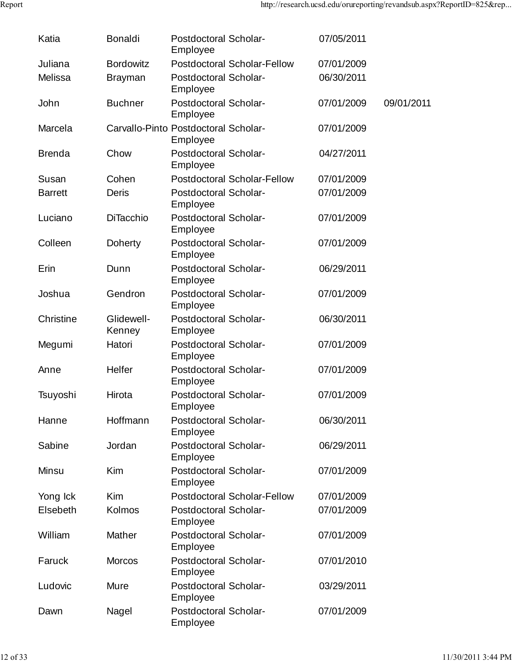| Katia          | <b>Bonaldi</b>                       | Postdoctoral Scholar-<br>Employee |                                    | 07/05/2011 |            |
|----------------|--------------------------------------|-----------------------------------|------------------------------------|------------|------------|
| Juliana        | <b>Bordowitz</b>                     |                                   | <b>Postdoctoral Scholar-Fellow</b> | 07/01/2009 |            |
| Melissa        | <b>Brayman</b>                       | Postdoctoral Scholar-<br>Employee |                                    | 06/30/2011 |            |
| John           | <b>Buchner</b>                       | Postdoctoral Scholar-<br>Employee |                                    | 07/01/2009 | 09/01/2011 |
| Marcela        | Carvallo-Pinto Postdoctoral Scholar- | Employee                          |                                    | 07/01/2009 |            |
| <b>Brenda</b>  | Chow                                 | Postdoctoral Scholar-<br>Employee |                                    | 04/27/2011 |            |
| Susan          | Cohen                                |                                   | <b>Postdoctoral Scholar-Fellow</b> | 07/01/2009 |            |
| <b>Barrett</b> | <b>Deris</b>                         | Postdoctoral Scholar-<br>Employee |                                    | 07/01/2009 |            |
| Luciano        | <b>DiTacchio</b>                     | Postdoctoral Scholar-<br>Employee |                                    | 07/01/2009 |            |
| Colleen        | <b>Doherty</b>                       | Postdoctoral Scholar-<br>Employee |                                    | 07/01/2009 |            |
| Erin           | Dunn                                 | Postdoctoral Scholar-<br>Employee |                                    | 06/29/2011 |            |
| Joshua         | Gendron                              | Postdoctoral Scholar-<br>Employee |                                    | 07/01/2009 |            |
| Christine      | Glidewell-<br>Kenney                 | Postdoctoral Scholar-<br>Employee |                                    | 06/30/2011 |            |
| Megumi         | Hatori                               | Postdoctoral Scholar-<br>Employee |                                    | 07/01/2009 |            |
| Anne           | Helfer                               | Postdoctoral Scholar-<br>Employee |                                    | 07/01/2009 |            |
| Tsuyoshi       | Hirota                               | Postdoctoral Scholar-<br>Employee |                                    | 07/01/2009 |            |
| Hanne          | Hoffmann                             | Postdoctoral Scholar-<br>Employee |                                    | 06/30/2011 |            |
| Sabine         | Jordan                               | Postdoctoral Scholar-<br>Employee |                                    | 06/29/2011 |            |
| Minsu          | <b>Kim</b>                           | Postdoctoral Scholar-<br>Employee |                                    | 07/01/2009 |            |
| Yong Ick       | <b>Kim</b>                           |                                   | <b>Postdoctoral Scholar-Fellow</b> | 07/01/2009 |            |
| Elsebeth       | Kolmos                               | Postdoctoral Scholar-<br>Employee |                                    | 07/01/2009 |            |
| William        | Mather                               | Postdoctoral Scholar-<br>Employee |                                    | 07/01/2009 |            |
| Faruck         | <b>Morcos</b>                        | Postdoctoral Scholar-<br>Employee |                                    | 07/01/2010 |            |
| Ludovic        | Mure                                 | Postdoctoral Scholar-<br>Employee |                                    | 03/29/2011 |            |
| Dawn           | Nagel                                | Postdoctoral Scholar-<br>Employee |                                    | 07/01/2009 |            |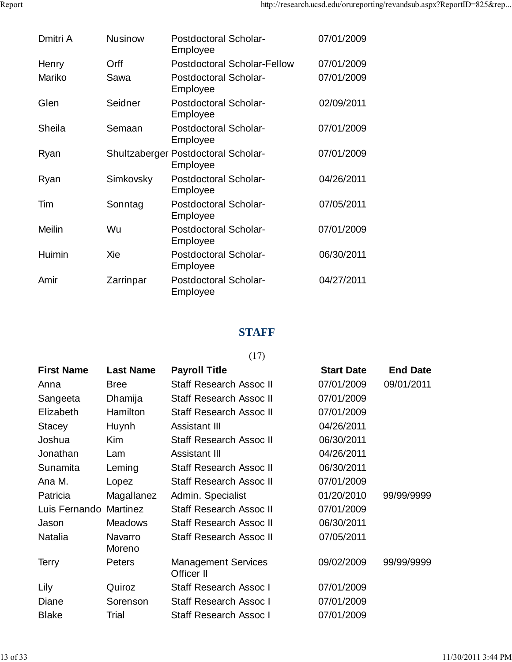| Dmitri A | <b>Nusinow</b>                      | Postdoctoral Scholar-<br>Employee |                                    | 07/01/2009 |
|----------|-------------------------------------|-----------------------------------|------------------------------------|------------|
| Henry    | Orff                                |                                   | <b>Postdoctoral Scholar-Fellow</b> | 07/01/2009 |
| Mariko   | Sawa                                | Postdoctoral Scholar-<br>Employee |                                    | 07/01/2009 |
| Glen     | Seidner                             | Postdoctoral Scholar-<br>Employee |                                    | 02/09/2011 |
| Sheila   | Semaan                              | Postdoctoral Scholar-<br>Employee |                                    | 07/01/2009 |
| Ryan     | Shultzaberger Postdoctoral Scholar- | Employee                          |                                    | 07/01/2009 |
| Ryan     | Simkovsky                           | Postdoctoral Scholar-<br>Employee |                                    | 04/26/2011 |
| Tim      | Sonntag                             | Postdoctoral Scholar-<br>Employee |                                    | 07/05/2011 |
| Meilin   | Wu                                  | Postdoctoral Scholar-<br>Employee |                                    | 07/01/2009 |
| Huimin   | Xie                                 | Postdoctoral Scholar-<br>Employee |                                    | 06/30/2011 |
| Amir     | Zarrinpar                           | Postdoctoral Scholar-<br>Employee |                                    | 04/27/2011 |
|          |                                     |                                   |                                    |            |

### **STAFF**

### (17)

| <b>First Name</b> | <b>Last Name</b>  | <b>Payroll Title</b>                     | <b>Start Date</b> | <b>End Date</b> |
|-------------------|-------------------|------------------------------------------|-------------------|-----------------|
| Anna              | <b>Bree</b>       | Staff Research Assoc II                  | 07/01/2009        | 09/01/2011      |
| Sangeeta          | Dhamija           | Staff Research Assoc II                  | 07/01/2009        |                 |
| Elizabeth         | Hamilton          | Staff Research Assoc II                  | 07/01/2009        |                 |
| Stacey            | Huynh             | Assistant III                            | 04/26/2011        |                 |
| Joshua            | <b>Kim</b>        | Staff Research Assoc II                  | 06/30/2011        |                 |
| Jonathan          | Lam               | Assistant III                            | 04/26/2011        |                 |
| Sunamita          | Leming            | Staff Research Assoc II                  | 06/30/2011        |                 |
| Ana M.            | Lopez             | Staff Research Assoc II                  | 07/01/2009        |                 |
| Patricia          | Magallanez        | Admin. Specialist                        | 01/20/2010        | 99/99/9999      |
| Luis Fernando     | Martinez          | <b>Staff Research Assoc II</b>           | 07/01/2009        |                 |
| Jason             | <b>Meadows</b>    | Staff Research Assoc II                  | 06/30/2011        |                 |
| <b>Natalia</b>    | Navarro<br>Moreno | Staff Research Assoc II                  | 07/05/2011        |                 |
| Terry             | <b>Peters</b>     | <b>Management Services</b><br>Officer II | 09/02/2009        | 99/99/9999      |
| Lily              | Quiroz            | Staff Research Assoc I                   | 07/01/2009        |                 |
| Diane             | Sorenson          | Staff Research Assoc I                   | 07/01/2009        |                 |
| <b>Blake</b>      | Trial             | Staff Research Assoc I                   | 07/01/2009        |                 |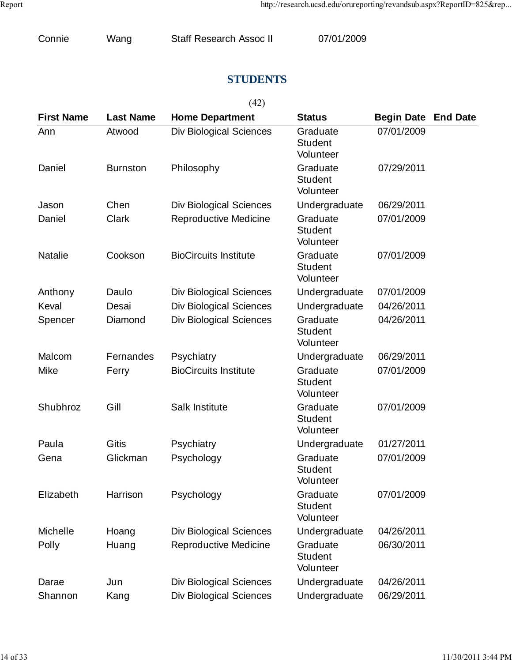|  | Connie | Wang | Staff Research Assoc II | 07/01/2009 |  |
|--|--------|------|-------------------------|------------|--|
|--|--------|------|-------------------------|------------|--|

## **STUDENTS**

|--|--|--|

| <b>First Name</b> | <b>Last Name</b> | <b>Home Department</b>         | <b>Status</b>                           | <b>Begin Date End Date</b> |  |
|-------------------|------------------|--------------------------------|-----------------------------------------|----------------------------|--|
| Ann               | Atwood           | <b>Div Biological Sciences</b> | Graduate<br><b>Student</b><br>Volunteer | 07/01/2009                 |  |
| Daniel            | <b>Burnston</b>  | Philosophy                     | Graduate<br><b>Student</b><br>Volunteer | 07/29/2011                 |  |
| Jason             | Chen             | <b>Div Biological Sciences</b> | Undergraduate                           | 06/29/2011                 |  |
| Daniel            | Clark            | <b>Reproductive Medicine</b>   | Graduate<br><b>Student</b><br>Volunteer | 07/01/2009                 |  |
| <b>Natalie</b>    | Cookson          | <b>BioCircuits Institute</b>   | Graduate<br><b>Student</b><br>Volunteer | 07/01/2009                 |  |
| Anthony           | Daulo            | <b>Div Biological Sciences</b> | Undergraduate                           | 07/01/2009                 |  |
| Keval             | Desai            | <b>Div Biological Sciences</b> | Undergraduate                           | 04/26/2011                 |  |
| Spencer           | Diamond          | <b>Div Biological Sciences</b> | Graduate<br><b>Student</b><br>Volunteer | 04/26/2011                 |  |
| Malcom            | Fernandes        | Psychiatry                     | Undergraduate                           | 06/29/2011                 |  |
| Mike              | Ferry            | <b>BioCircuits Institute</b>   | Graduate<br><b>Student</b><br>Volunteer | 07/01/2009                 |  |
| Shubhroz          | Gill             | Salk Institute                 | Graduate<br><b>Student</b><br>Volunteer | 07/01/2009                 |  |
| Paula             | <b>Gitis</b>     | Psychiatry                     | Undergraduate                           | 01/27/2011                 |  |
| Gena              | Glickman         | Psychology                     | Graduate<br><b>Student</b><br>Volunteer | 07/01/2009                 |  |
| Elizabeth         | Harrison         | Psychology                     | Graduate<br><b>Student</b><br>Volunteer | 07/01/2009                 |  |
| Michelle          | Hoang            | <b>Div Biological Sciences</b> | Undergraduate                           | 04/26/2011                 |  |
| Polly             | Huang            | <b>Reproductive Medicine</b>   | Graduate<br><b>Student</b><br>Volunteer | 06/30/2011                 |  |
| Darae             | Jun              | <b>Div Biological Sciences</b> | Undergraduate                           | 04/26/2011                 |  |
| Shannon           | Kang             | <b>Div Biological Sciences</b> | Undergraduate                           | 06/29/2011                 |  |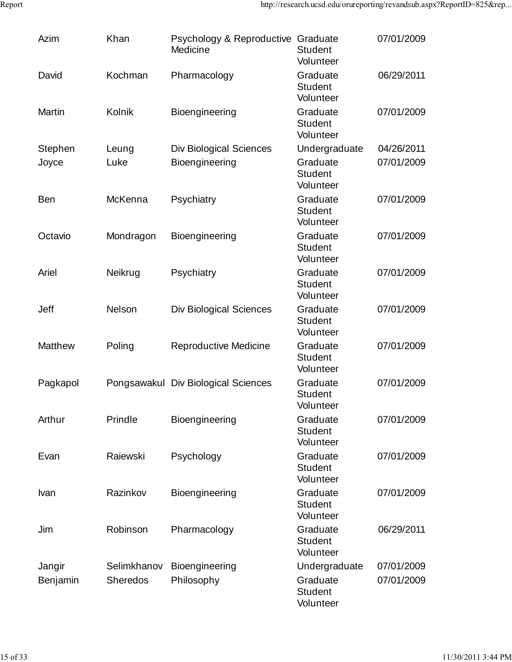| Azim          | Khan            | Psychology & Reproductive Graduate<br>Medicine | <b>Student</b><br>Volunteer             | 07/01/2009 |
|---------------|-----------------|------------------------------------------------|-----------------------------------------|------------|
| David         | Kochman         | Pharmacology                                   | Graduate<br><b>Student</b><br>Volunteer | 06/29/2011 |
| <b>Martin</b> | Kolnik          | Bioengineering                                 | Graduate<br><b>Student</b><br>Volunteer | 07/01/2009 |
| Stephen       | Leung           | <b>Div Biological Sciences</b>                 | Undergraduate                           | 04/26/2011 |
| Joyce         | Luke            | Bioengineering                                 | Graduate<br><b>Student</b><br>Volunteer | 07/01/2009 |
| <b>Ben</b>    | McKenna         | Psychiatry                                     | Graduate<br><b>Student</b><br>Volunteer | 07/01/2009 |
| Octavio       | Mondragon       | <b>Bioengineering</b>                          | Graduate<br><b>Student</b><br>Volunteer | 07/01/2009 |
| Ariel         | Neikrug         | Psychiatry                                     | Graduate<br><b>Student</b><br>Volunteer | 07/01/2009 |
| Jeff          | Nelson          | <b>Div Biological Sciences</b>                 | Graduate<br><b>Student</b><br>Volunteer | 07/01/2009 |
| Matthew       | Poling          | <b>Reproductive Medicine</b>                   | Graduate<br><b>Student</b><br>Volunteer | 07/01/2009 |
| Pagkapol      |                 | Pongsawakul Div Biological Sciences            | Graduate<br><b>Student</b><br>Volunteer | 07/01/2009 |
| Arthur        | Prindle         | Bioengineering                                 | Graduate<br><b>Student</b><br>Volunteer | 07/01/2009 |
| Evan          | Raiewski        | Psychology                                     | Graduate<br><b>Student</b><br>Volunteer | 07/01/2009 |
| Ivan          | Razinkov        | Bioengineering                                 | Graduate<br><b>Student</b><br>Volunteer | 07/01/2009 |
| Jim           | Robinson        | Pharmacology                                   | Graduate<br><b>Student</b><br>Volunteer | 06/29/2011 |
| Jangir        | Selimkhanov     | Bioengineering                                 | Undergraduate                           | 07/01/2009 |
| Benjamin      | <b>Sheredos</b> | Philosophy                                     | Graduate<br><b>Student</b><br>Volunteer | 07/01/2009 |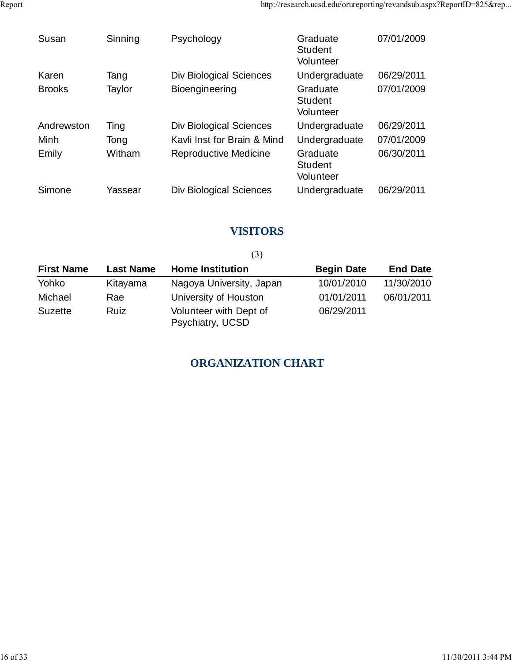| Susan         | Sinning | Psychology                     | Graduate<br><b>Student</b><br>Volunteer | 07/01/2009 |
|---------------|---------|--------------------------------|-----------------------------------------|------------|
| Karen         | Tang    | <b>Div Biological Sciences</b> | Undergraduate                           | 06/29/2011 |
| <b>Brooks</b> | Taylor  | <b>Bioengineering</b>          | Graduate<br><b>Student</b><br>Volunteer | 07/01/2009 |
| Andrewston    | Ting    | <b>Div Biological Sciences</b> | Undergraduate                           | 06/29/2011 |
| Minh          | Tong    | Kavli Inst for Brain & Mind    | Undergraduate                           | 07/01/2009 |
| Emily         | Witham  | Reproductive Medicine          | Graduate<br><b>Student</b><br>Volunteer | 06/30/2011 |
| Simone        | Yassear | Div Biological Sciences        | Undergraduate                           | 06/29/2011 |

## **VISITORS**

|                   | (3)              |                                            |                   |                 |  |
|-------------------|------------------|--------------------------------------------|-------------------|-----------------|--|
| <b>First Name</b> | <b>Last Name</b> | <b>Home Institution</b>                    | <b>Begin Date</b> | <b>End Date</b> |  |
| Yohko             | Kitayama         | Nagoya University, Japan                   | 10/01/2010        | 11/30/2010      |  |
| Michael           | Rae              | University of Houston                      | 01/01/2011        | 06/01/2011      |  |
| <b>Suzette</b>    | Ruiz             | Volunteer with Dept of<br>Psychiatry, UCSD | 06/29/2011        |                 |  |

## **ORGANIZATION CHART**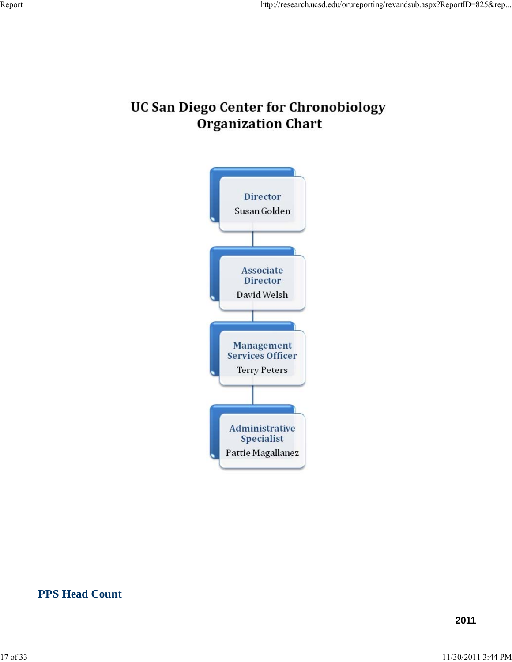# **UC San Diego Center for Chronobiology Organization Chart**



### **PPS Head Count**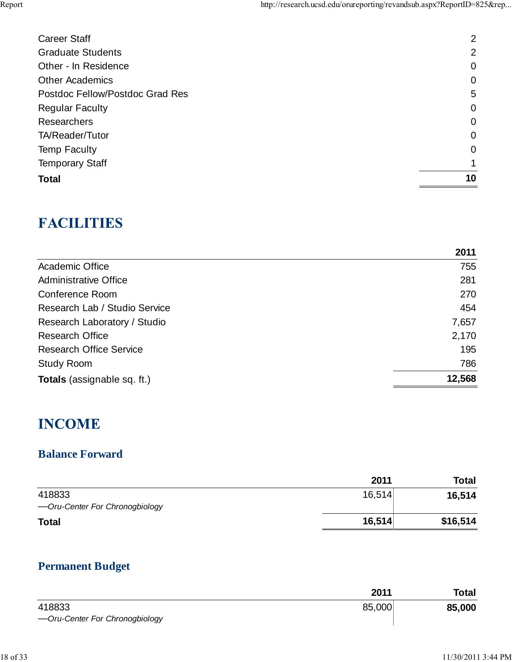| <b>Career Staff</b>             | 2              |
|---------------------------------|----------------|
| <b>Graduate Students</b>        | $\overline{2}$ |
| Other - In Residence            | $\mathbf 0$    |
| <b>Other Academics</b>          | 0              |
| Postdoc Fellow/Postdoc Grad Res | 5              |
| <b>Regular Faculty</b>          | $\mathbf 0$    |
| <b>Researchers</b>              | $\mathbf 0$    |
| TA/Reader/Tutor                 | $\mathbf 0$    |
| <b>Temp Faculty</b>             | $\overline{0}$ |
| <b>Temporary Staff</b>          |                |
| <b>Total</b>                    | 10             |

# **FACILITIES**

|                                    | 2011   |
|------------------------------------|--------|
| Academic Office                    | 755    |
| <b>Administrative Office</b>       | 281    |
| Conference Room                    | 270    |
| Research Lab / Studio Service      | 454    |
| Research Laboratory / Studio       | 7,657  |
| <b>Research Office</b>             | 2,170  |
| <b>Research Office Service</b>     | 195    |
| <b>Study Room</b>                  | 786    |
| <b>Totals</b> (assignable sq. ft.) | 12,568 |

# **INCOME**

# **Balance Forward**

|                                | 2011   | <b>Total</b> |
|--------------------------------|--------|--------------|
| 418833                         | 16,514 | 16,514       |
| -Oru-Center For Chronogbiology |        |              |
| <b>Total</b>                   | 16,514 | \$16,514     |

# **Permanent Budget**

|                                | 2011   | <b>Total</b> |
|--------------------------------|--------|--------------|
| 418833                         | 85,000 | 85,000       |
| -Oru-Center For Chronogbiology |        |              |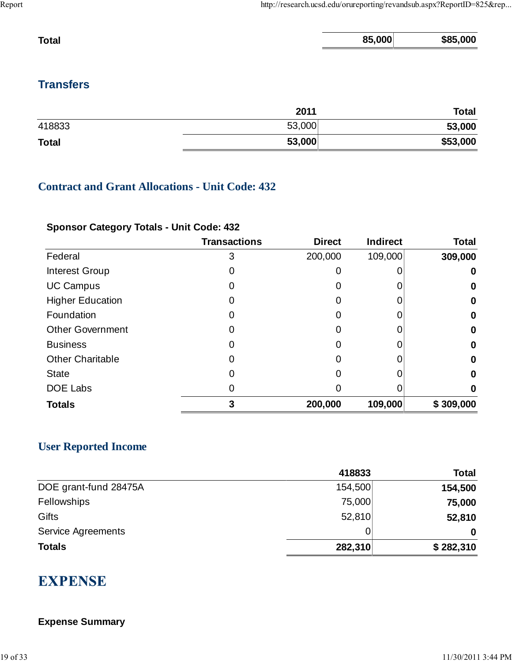| <b>Total</b> | 85,000 | \$85,000 |
|--------------|--------|----------|
|              |        |          |

## **Transfers**

|              | 2011   | <b>Total</b> |
|--------------|--------|--------------|
| 418833       | 53,000 | 53,000       |
| <b>Total</b> | 53,000 | \$53,000     |

### **Contract and Grant Allocations - Unit Code: 432**

### **Sponsor Category Totals - Unit Code: 432**

|                         | <b>Transactions</b> | <b>Direct</b> | <b>Indirect</b> | <b>Total</b> |
|-------------------------|---------------------|---------------|-----------------|--------------|
| Federal                 | 3                   | 200,000       | 109,000         | 309,000      |
| Interest Group          | 0                   |               |                 | 0            |
| <b>UC Campus</b>        | 0                   |               |                 | 0            |
| <b>Higher Education</b> | 0                   |               |                 | 0            |
| Foundation              | 0                   |               |                 | 0            |
| <b>Other Government</b> | 0                   |               |                 | 0            |
| <b>Business</b>         | 0                   | 0             |                 | 0            |
| <b>Other Charitable</b> | 0                   |               |                 | 0            |
| <b>State</b>            | 0                   |               |                 | 0            |
| <b>DOE Labs</b>         | 0                   |               |                 | 0            |
| <b>Totals</b>           | 3                   | 200,000       | 109,000         | \$309,000    |

### **User Reported Income**

|                       | 418833  | Total     |
|-----------------------|---------|-----------|
| DOE grant-fund 28475A | 154,500 | 154,500   |
| Fellowships           | 75,000  | 75,000    |
| Gifts                 | 52,810  | 52,810    |
| Service Agreements    | 0       | 0         |
| <b>Totals</b>         | 282,310 | \$282,310 |

# **EXPENSE**

### **Expense Summary**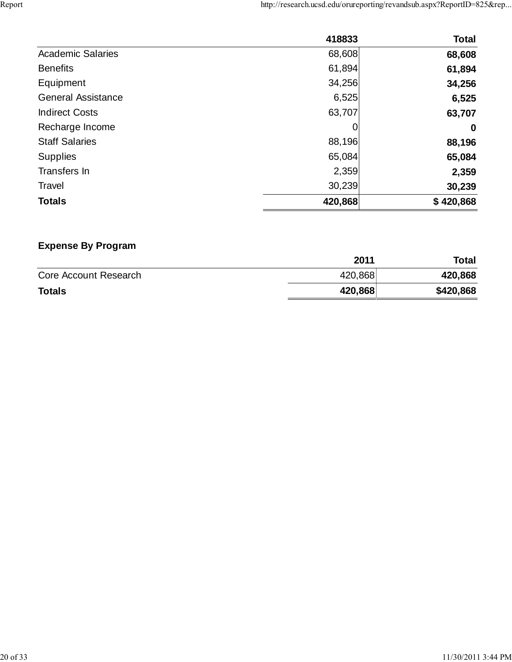|                           | 418833  | <b>Total</b> |
|---------------------------|---------|--------------|
| <b>Academic Salaries</b>  | 68,608  | 68,608       |
| <b>Benefits</b>           | 61,894  | 61,894       |
| Equipment                 | 34,256  | 34,256       |
| <b>General Assistance</b> | 6,525   | 6,525        |
| <b>Indirect Costs</b>     | 63,707  | 63,707       |
| Recharge Income           |         | $\bf{0}$     |
| <b>Staff Salaries</b>     | 88,196  | 88,196       |
| <b>Supplies</b>           | 65,084  | 65,084       |
| Transfers In              | 2,359   | 2,359        |
| <b>Travel</b>             | 30,239  | 30,239       |
| <b>Totals</b>             | 420,868 | \$420,868    |

# **Expense By Program**

|                       | 2011    | Total     |
|-----------------------|---------|-----------|
| Core Account Research | 420,868 | 420,868   |
| <b>Totals</b>         | 420,868 | \$420,868 |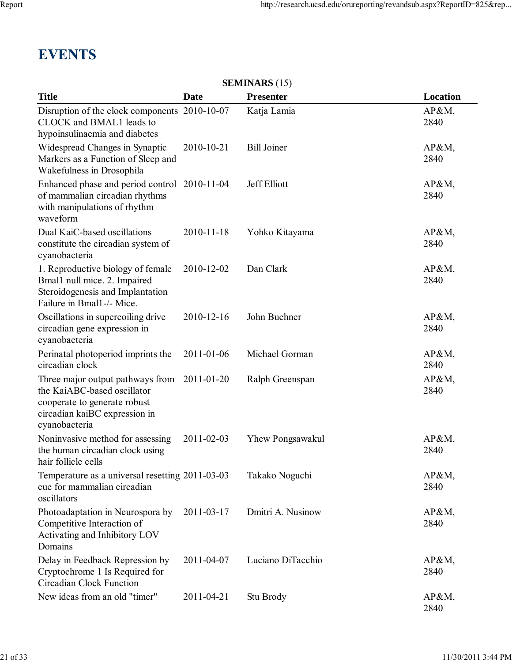# **EVENTS**

| <b>SEMINARS</b> (15)                                                                                                                              |             |                         |               |  |  |  |
|---------------------------------------------------------------------------------------------------------------------------------------------------|-------------|-------------------------|---------------|--|--|--|
| <b>Title</b>                                                                                                                                      | <b>Date</b> | <b>Presenter</b>        | Location      |  |  |  |
| Disruption of the clock components 2010-10-07<br>CLOCK and BMAL1 leads to<br>hypoinsulinaemia and diabetes                                        |             | Katja Lamia             | AP&M<br>2840  |  |  |  |
| Widespread Changes in Synaptic<br>Markers as a Function of Sleep and<br>Wakefulness in Drosophila                                                 | 2010-10-21  | <b>Bill Joiner</b>      | AP&M,<br>2840 |  |  |  |
| Enhanced phase and period control 2010-11-04<br>of mammalian circadian rhythms<br>with manipulations of rhythm<br>waveform                        |             | Jeff Elliott            | AP&M,<br>2840 |  |  |  |
| Dual KaiC-based oscillations<br>constitute the circadian system of<br>cyanobacteria                                                               | 2010-11-18  | Yohko Kitayama          | AP&M<br>2840  |  |  |  |
| 1. Reproductive biology of female<br>Bmal1 null mice. 2. Impaired<br>Steroidogenesis and Implantation<br>Failure in Bmal1-/- Mice.                | 2010-12-02  | Dan Clark               | AP&M<br>2840  |  |  |  |
| Oscillations in supercoiling drive<br>circadian gene expression in<br>cyanobacteria                                                               | 2010-12-16  | John Buchner            | AP&M<br>2840  |  |  |  |
| Perinatal photoperiod imprints the<br>circadian clock                                                                                             | 2011-01-06  | Michael Gorman          | AP&M<br>2840  |  |  |  |
| Three major output pathways from<br>the KaiABC-based oscillator<br>cooperate to generate robust<br>circadian kaiBC expression in<br>cyanobacteria | 2011-01-20  | Ralph Greenspan         | AP&M<br>2840  |  |  |  |
| Noninvasive method for assessing<br>the human circadian clock using<br>hair follicle cells                                                        | 2011-02-03  | <b>Yhew Pongsawakul</b> | AP&M,<br>2840 |  |  |  |
| Temperature as a universal resetting 2011-03-03<br>cue for mammalian circadian<br>oscillators                                                     |             | Takako Noguchi          | AP&M<br>2840  |  |  |  |
| Photoadaptation in Neurospora by<br>Competitive Interaction of<br>Activating and Inhibitory LOV<br>Domains                                        | 2011-03-17  | Dmitri A. Nusinow       | AP&M<br>2840  |  |  |  |
| Delay in Feedback Repression by<br>Cryptochrome 1 Is Required for<br><b>Circadian Clock Function</b>                                              | 2011-04-07  | Luciano DiTacchio       | AP&M,<br>2840 |  |  |  |
| New ideas from an old "timer"                                                                                                                     | 2011-04-21  | Stu Brody               | AP&M<br>2840  |  |  |  |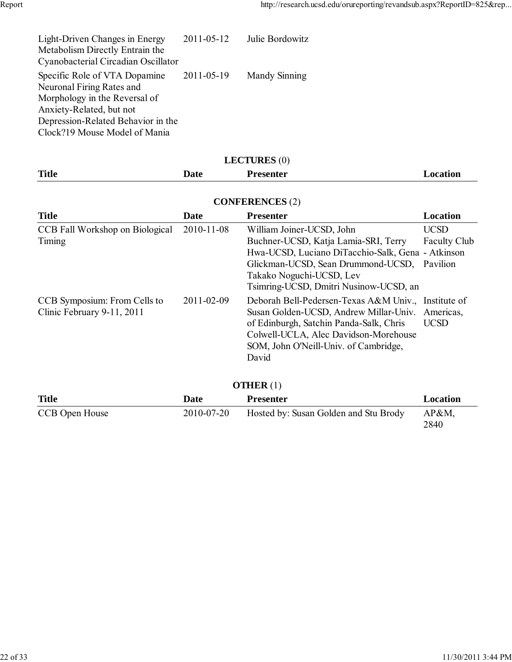| Light-Driven Changes in Energy<br>Metabolism Directly Entrain the<br>Cyanobacterial Circadian Oscillator                                                                                       | 2011-05-12 | Julie Bordowitz |
|------------------------------------------------------------------------------------------------------------------------------------------------------------------------------------------------|------------|-----------------|
| Specific Role of VTA Dopamine<br>Neuronal Firing Rates and<br>Morphology in the Reversal of<br>Anxiety-Related, but not<br>Depression-Related Behavior in the<br>Clock?19 Mouse Model of Mania | 2011-05-19 | Mandy Sinning   |

| <b>LECTURES</b> (0)                                        |            |                                                                                                                                                                                                                                     |                                                |  |  |  |
|------------------------------------------------------------|------------|-------------------------------------------------------------------------------------------------------------------------------------------------------------------------------------------------------------------------------------|------------------------------------------------|--|--|--|
| <b>Title</b>                                               | Date       | <b>Presenter</b>                                                                                                                                                                                                                    | Location                                       |  |  |  |
| <b>CONFERENCES</b> (2)                                     |            |                                                                                                                                                                                                                                     |                                                |  |  |  |
| <b>Title</b>                                               | Date       | <b>Presenter</b>                                                                                                                                                                                                                    | Location                                       |  |  |  |
| CCB Fall Workshop on Biological<br>Timing                  | 2010-11-08 | William Joiner-UCSD, John<br>Buchner-UCSD, Katja Lamia-SRI, Terry<br>Hwa-UCSD, Luciano DiTacchio-Salk, Gena - Atkinson<br>Glickman-UCSD, Sean Drummond-UCSD,<br>Takako Noguchi-UCSD, Lev<br>Tsimring-UCSD, Dmitri Nusinow-UCSD, an  | <b>UCSD</b><br><b>Faculty Club</b><br>Pavilion |  |  |  |
| CCB Symposium: From Cells to<br>Clinic February 9-11, 2011 | 2011-02-09 | Deborah Bell-Pedersen-Texas A&M Univ., Institute of<br>Susan Golden-UCSD, Andrew Millar-Univ.<br>of Edinburgh, Satchin Panda-Salk, Chris<br>Colwell-UCLA, Alec Davidson-Morehouse<br>SOM, John O'Neill-Univ. of Cambridge,<br>David | Americas,<br><b>UCSD</b>                       |  |  |  |
| <b>OTHER</b> $(1)$                                         |            |                                                                                                                                                                                                                                     |                                                |  |  |  |
| <b>Title</b>                                               | Date       | <b>Presenter</b>                                                                                                                                                                                                                    | Location                                       |  |  |  |
| CCB Open House                                             | 2010-07-20 | Hosted by: Susan Golden and Stu Brody                                                                                                                                                                                               | $AP&M$ ,<br>2840                               |  |  |  |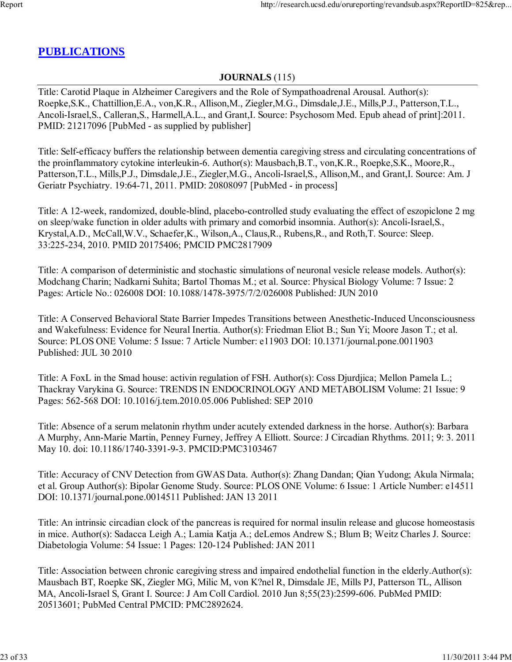### **PUBLICATIONS**

### **JOURNALS** (115)

Title: Carotid Plaque in Alzheimer Caregivers and the Role of Sympathoadrenal Arousal. Author(s): Roepke,S.K., Chattillion,E.A., von,K.R., Allison,M., Ziegler,M.G., Dimsdale,J.E., Mills,P.J., Patterson,T.L., Ancoli-Israel,S., Calleran,S., Harmell,A.L., and Grant,I. Source: Psychosom Med. Epub ahead of print]:2011. PMID: 21217096 [PubMed - as supplied by publisher]

Title: Self-efficacy buffers the relationship between dementia caregiving stress and circulating concentrations of the proinflammatory cytokine interleukin-6. Author(s): Mausbach,B.T., von,K.R., Roepke,S.K., Moore,R., Patterson,T.L., Mills,P.J., Dimsdale,J.E., Ziegler,M.G., Ancoli-Israel,S., Allison,M., and Grant,I. Source: Am. J Geriatr Psychiatry. 19:64-71, 2011. PMID: 20808097 [PubMed - in process]

Title: A 12-week, randomized, double-blind, placebo-controlled study evaluating the effect of eszopiclone 2 mg on sleep/wake function in older adults with primary and comorbid insomnia. Author(s): Ancoli-Israel,S., Krystal,A.D., McCall,W.V., Schaefer,K., Wilson,A., Claus,R., Rubens,R., and Roth,T. Source: Sleep. 33:225-234, 2010. PMID 20175406; PMCID PMC2817909

Title: A comparison of deterministic and stochastic simulations of neuronal vesicle release models. Author(s): Modchang Charin; Nadkarni Suhita; Bartol Thomas M.; et al. Source: Physical Biology Volume: 7 Issue: 2 Pages: Article No.: 026008 DOI: 10.1088/1478-3975/7/2/026008 Published: JUN 2010

Title: A Conserved Behavioral State Barrier Impedes Transitions between Anesthetic-Induced Unconsciousness and Wakefulness: Evidence for Neural Inertia. Author(s): Friedman Eliot B.; Sun Yi; Moore Jason T.; et al. Source: PLOS ONE Volume: 5 Issue: 7 Article Number: e11903 DOI: 10.1371/journal.pone.0011903 Published: JUL 30 2010

Title: A FoxL in the Smad house: activin regulation of FSH. Author(s): Coss Djurdjica; Mellon Pamela L.; Thackray Varykina G. Source: TRENDS IN ENDOCRINOLOGY AND METABOLISM Volume: 21 Issue: 9 Pages: 562-568 DOI: 10.1016/j.tem.2010.05.006 Published: SEP 2010

Title: Absence of a serum melatonin rhythm under acutely extended darkness in the horse. Author(s): Barbara A Murphy, Ann-Marie Martin, Penney Furney, Jeffrey A Elliott. Source: J Circadian Rhythms. 2011; 9: 3. 2011 May 10. doi: 10.1186/1740-3391-9-3. PMCID:PMC3103467

Title: Accuracy of CNV Detection from GWAS Data. Author(s): Zhang Dandan; Qian Yudong; Akula Nirmala; et al. Group Author(s): Bipolar Genome Study. Source: PLOS ONE Volume: 6 Issue: 1 Article Number: e14511 DOI: 10.1371/journal.pone.0014511 Published: JAN 13 2011

Title: An intrinsic circadian clock of the pancreas is required for normal insulin release and glucose homeostasis in mice. Author(s): Sadacca Leigh A.; Lamia Katja A.; deLemos Andrew S.; Blum B; Weitz Charles J. Source: Diabetologia Volume: 54 Issue: 1 Pages: 120-124 Published: JAN 2011

Title: Association between chronic caregiving stress and impaired endothelial function in the elderly.Author(s): Mausbach BT, Roepke SK, Ziegler MG, Milic M, von K?nel R, Dimsdale JE, Mills PJ, Patterson TL, Allison MA, Ancoli-Israel S, Grant I. Source: J Am Coll Cardiol. 2010 Jun 8;55(23):2599-606. PubMed PMID: 20513601; PubMed Central PMCID: PMC2892624.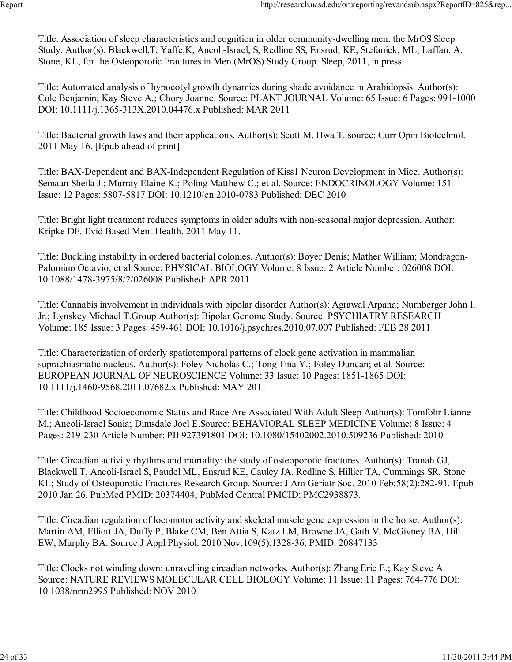Title: Association of sleep characteristics and cognition in older community-dwelling men: the MrOS Sleep Study. Author(s): Blackwell,T, Yaffe,K, Ancoli-Israel, S, Redline SS, Ensrud, KE, Stefanick, ML, Laffan, A. Stone, KL, for the Osteoporotic Fractures in Men (MrOS) Study Group. Sleep, 2011, in press.

Title: Automated analysis of hypocotyl growth dynamics during shade avoidance in Arabidopsis. Author(s): Cole Benjamin; Kay Steve A.; Chory Joanne. Source: PLANT JOURNAL Volume: 65 Issue: 6 Pages: 991-1000 DOI: 10.1111/j.1365-313X.2010.04476.x Published: MAR 2011

Title: Bacterial growth laws and their applications. Author(s): Scott M, Hwa T. source: Curr Opin Biotechnol. 2011 May 16. [Epub ahead of print]

Title: BAX-Dependent and BAX-Independent Regulation of Kiss1 Neuron Development in Mice. Author(s): Semaan Sheila J.; Murray Elaine K.; Poling Matthew C.; et al. Source: ENDOCRINOLOGY Volume: 151 Issue: 12 Pages: 5807-5817 DOI: 10.1210/en.2010-0783 Published: DEC 2010

Title: Bright light treatment reduces symptoms in older adults with non-seasonal major depression. Author: Kripke DF. Evid Based Ment Health. 2011 May 11.

Title: Buckling instability in ordered bacterial colonies. Author(s): Boyer Denis; Mather William; Mondragon-Palomino Octavio; et al.Source: PHYSICAL BIOLOGY Volume: 8 Issue: 2 Article Number: 026008 DOI: 10.1088/1478-3975/8/2/026008 Published: APR 2011

Title: Cannabis involvement in individuals with bipolar disorder Author(s): Agrawal Arpana; Nurnberger John I. Jr.; Lynskey Michael T.Group Author(s): Bipolar Genome Study. Source: PSYCHIATRY RESEARCH Volume: 185 Issue: 3 Pages: 459-461 DOI: 10.1016/j.psychres.2010.07.007 Published: FEB 28 2011

Title: Characterization of orderly spatiotemporal patterns of clock gene activation in mammalian suprachiasmatic nucleus. Author(s): Foley Nicholas C.; Tong Tina Y.; Foley Duncan; et al. Source: EUROPEAN JOURNAL OF NEUROSCIENCE Volume: 33 Issue: 10 Pages: 1851-1865 DOI: 10.1111/j.1460-9568.2011.07682.x Published: MAY 2011

Title: Childhood Socioeconomic Status and Race Are Associated With Adult Sleep Author(s): Tomfohr Lianne M.; Ancoli-Israel Sonia; Dimsdale Joel E.Source: BEHAVIORAL SLEEP MEDICINE Volume: 8 Issue: 4 Pages: 219-230 Article Number: PII 927391801 DOI: 10.1080/15402002.2010.509236 Published: 2010

Title: Circadian activity rhythms and mortality: the study of osteoporotic fractures. Author(s): Tranah GJ, Blackwell T, Ancoli-Israel S, Paudel ML, Ensrud KE, Cauley JA, Redline S, Hillier TA, Cummings SR, Stone KL; Study of Osteoporotic Fractures Research Group. Source: J Am Geriatr Soc. 2010 Feb;58(2):282-91. Epub 2010 Jan 26. PubMed PMID: 20374404; PubMed Central PMCID: PMC2938873.

Title: Circadian regulation of locomotor activity and skeletal muscle gene expression in the horse. Author(s): Martin AM, Elliott JA, Duffy P, Blake CM, Ben Attia S, Katz LM, Browne JA, Gath V, McGivney BA, Hill EW, Murphy BA. Source:J Appl Physiol. 2010 Nov;109(5):1328-36. PMID: 20847133

Title: Clocks not winding down: unravelling circadian networks. Author(s): Zhang Eric E.; Kay Steve A. Source: NATURE REVIEWS MOLECULAR CELL BIOLOGY Volume: 11 Issue: 11 Pages: 764-776 DOI: 10.1038/nrm2995 Published: NOV 2010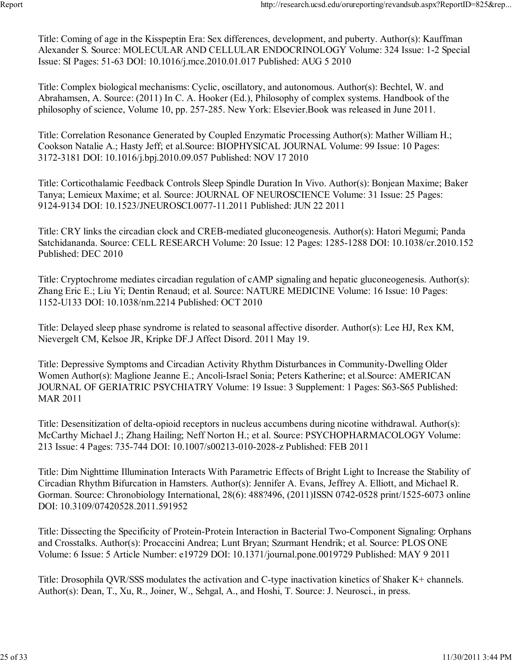Title: Coming of age in the Kisspeptin Era: Sex differences, development, and puberty. Author(s): Kauffman Alexander S. Source: MOLECULAR AND CELLULAR ENDOCRINOLOGY Volume: 324 Issue: 1-2 Special Issue: SI Pages: 51-63 DOI: 10.1016/j.mce.2010.01.017 Published: AUG 5 2010

Title: Complex biological mechanisms: Cyclic, oscillatory, and autonomous. Author(s): Bechtel, W. and Abrahamsen, A. Source: (2011) In C. A. Hooker (Ed.), Philosophy of complex systems. Handbook of the philosophy of science, Volume 10, pp. 257-285. New York: Elsevier.Book was released in June 2011.

Title: Correlation Resonance Generated by Coupled Enzymatic Processing Author(s): Mather William H.; Cookson Natalie A.; Hasty Jeff; et al.Source: BIOPHYSICAL JOURNAL Volume: 99 Issue: 10 Pages: 3172-3181 DOI: 10.1016/j.bpj.2010.09.057 Published: NOV 17 2010

Title: Corticothalamic Feedback Controls Sleep Spindle Duration In Vivo. Author(s): Bonjean Maxime; Baker Tanya; Lemieux Maxime; et al. Source: JOURNAL OF NEUROSCIENCE Volume: 31 Issue: 25 Pages: 9124-9134 DOI: 10.1523/JNEUROSCI.0077-11.2011 Published: JUN 22 2011

Title: CRY links the circadian clock and CREB-mediated gluconeogenesis. Author(s): Hatori Megumi; Panda Satchidananda. Source: CELL RESEARCH Volume: 20 Issue: 12 Pages: 1285-1288 DOI: 10.1038/cr.2010.152 Published: DEC 2010

Title: Cryptochrome mediates circadian regulation of cAMP signaling and hepatic gluconeogenesis. Author(s): Zhang Eric E.; Liu Yi; Dentin Renaud; et al. Source: NATURE MEDICINE Volume: 16 Issue: 10 Pages: 1152-U133 DOI: 10.1038/nm.2214 Published: OCT 2010

Title: Delayed sleep phase syndrome is related to seasonal affective disorder. Author(s): Lee HJ, Rex KM, Nievergelt CM, Kelsoe JR, Kripke DF.J Affect Disord. 2011 May 19.

Title: Depressive Symptoms and Circadian Activity Rhythm Disturbances in Community-Dwelling Older Women Author(s): Maglione Jeanne E.; Ancoli-Israel Sonia; Peters Katherine; et al.Source: AMERICAN JOURNAL OF GERIATRIC PSYCHIATRY Volume: 19 Issue: 3 Supplement: 1 Pages: S63-S65 Published: MAR 2011

Title: Desensitization of delta-opioid receptors in nucleus accumbens during nicotine withdrawal. Author(s): McCarthy Michael J.; Zhang Hailing; Neff Norton H.; et al. Source: PSYCHOPHARMACOLOGY Volume: 213 Issue: 4 Pages: 735-744 DOI: 10.1007/s00213-010-2028-z Published: FEB 2011

Title: Dim Nighttime Illumination Interacts With Parametric Effects of Bright Light to Increase the Stability of Circadian Rhythm Bifurcation in Hamsters. Author(s): Jennifer A. Evans, Jeffrey A. Elliott, and Michael R. Gorman. Source: Chronobiology International, 28(6): 488?496, (2011)ISSN 0742-0528 print/1525-6073 online DOI: 10.3109/07420528.2011.591952

Title: Dissecting the Specificity of Protein-Protein Interaction in Bacterial Two-Component Signaling: Orphans and Crosstalks. Author(s): Procaccini Andrea; Lunt Bryan; Szurmant Hendrik; et al. Source: PLOS ONE Volume: 6 Issue: 5 Article Number: e19729 DOI: 10.1371/journal.pone.0019729 Published: MAY 9 2011

Title: Drosophila QVR/SSS modulates the activation and C-type inactivation kinetics of Shaker K+ channels. Author(s): Dean, T., Xu, R., Joiner, W., Sehgal, A., and Hoshi, T. Source: J. Neurosci., in press.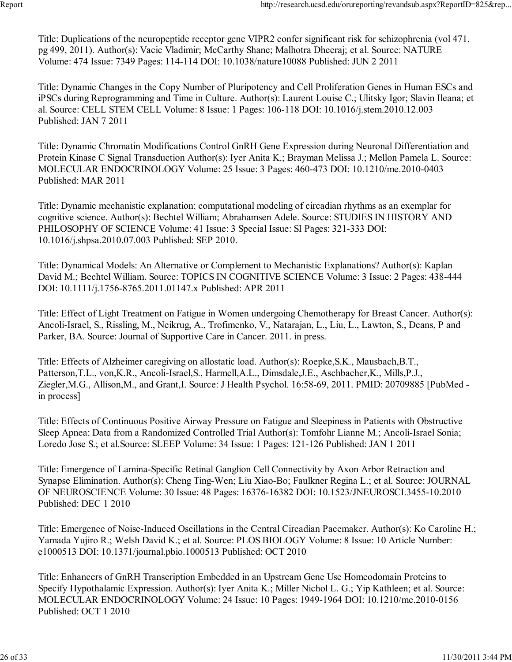Title: Duplications of the neuropeptide receptor gene VIPR2 confer significant risk for schizophrenia (vol 471, pg 499, 2011). Author(s): Vacic Vladimir; McCarthy Shane; Malhotra Dheeraj; et al. Source: NATURE Volume: 474 Issue: 7349 Pages: 114-114 DOI: 10.1038/nature10088 Published: JUN 2 2011

Title: Dynamic Changes in the Copy Number of Pluripotency and Cell Proliferation Genes in Human ESCs and iPSCs during Reprogramming and Time in Culture. Author(s): Laurent Louise C.; Ulitsky Igor; Slavin Ileana; et al. Source: CELL STEM CELL Volume: 8 Issue: 1 Pages: 106-118 DOI: 10.1016/j.stem.2010.12.003 Published: JAN 7 2011

Title: Dynamic Chromatin Modifications Control GnRH Gene Expression during Neuronal Differentiation and Protein Kinase C Signal Transduction Author(s): Iyer Anita K.; Brayman Melissa J.; Mellon Pamela L. Source: MOLECULAR ENDOCRINOLOGY Volume: 25 Issue: 3 Pages: 460-473 DOI: 10.1210/me.2010-0403 Published: MAR 2011

Title: Dynamic mechanistic explanation: computational modeling of circadian rhythms as an exemplar for cognitive science. Author(s): Bechtel William; Abrahamsen Adele. Source: STUDIES IN HISTORY AND PHILOSOPHY OF SCIENCE Volume: 41 Issue: 3 Special Issue: SI Pages: 321-333 DOI: 10.1016/j.shpsa.2010.07.003 Published: SEP 2010.

Title: Dynamical Models: An Alternative or Complement to Mechanistic Explanations? Author(s): Kaplan David M.; Bechtel William. Source: TOPICS IN COGNITIVE SCIENCE Volume: 3 Issue: 2 Pages: 438-444 DOI: 10.1111/j.1756-8765.2011.01147.x Published: APR 2011

Title: Effect of Light Treatment on Fatigue in Women undergoing Chemotherapy for Breast Cancer. Author(s): Ancoli-Israel, S., Rissling, M., Neikrug, A., Trofimenko, V., Natarajan, L., Liu, L., Lawton, S., Deans, P and Parker, BA. Source: Journal of Supportive Care in Cancer. 2011. in press.

Title: Effects of Alzheimer caregiving on allostatic load. Author(s): Roepke,S.K., Mausbach,B.T., Patterson,T.L., von,K.R., Ancoli-Israel,S., Harmell,A.L., Dimsdale,J.E., Aschbacher,K., Mills,P.J., Ziegler,M.G., Allison,M., and Grant,I. Source: J Health Psychol. 16:58-69, 2011. PMID: 20709885 [PubMed in process]

Title: Effects of Continuous Positive Airway Pressure on Fatigue and Sleepiness in Patients with Obstructive Sleep Apnea: Data from a Randomized Controlled Trial Author(s): Tomfohr Lianne M.; Ancoli-Israel Sonia; Loredo Jose S.; et al.Source: SLEEP Volume: 34 Issue: 1 Pages: 121-126 Published: JAN 1 2011

Title: Emergence of Lamina-Specific Retinal Ganglion Cell Connectivity by Axon Arbor Retraction and Synapse Elimination. Author(s): Cheng Ting-Wen; Liu Xiao-Bo; Faulkner Regina L.; et al. Source: JOURNAL OF NEUROSCIENCE Volume: 30 Issue: 48 Pages: 16376-16382 DOI: 10.1523/JNEUROSCI.3455-10.2010 Published: DEC 1 2010

Title: Emergence of Noise-Induced Oscillations in the Central Circadian Pacemaker. Author(s): Ko Caroline H.; Yamada Yujiro R.; Welsh David K.; et al. Source: PLOS BIOLOGY Volume: 8 Issue: 10 Article Number: e1000513 DOI: 10.1371/journal.pbio.1000513 Published: OCT 2010

Title: Enhancers of GnRH Transcription Embedded in an Upstream Gene Use Homeodomain Proteins to Specify Hypothalamic Expression. Author(s): Iyer Anita K.; Miller Nichol L. G.; Yip Kathleen; et al. Source: MOLECULAR ENDOCRINOLOGY Volume: 24 Issue: 10 Pages: 1949-1964 DOI: 10.1210/me.2010-0156 Published: OCT 1 2010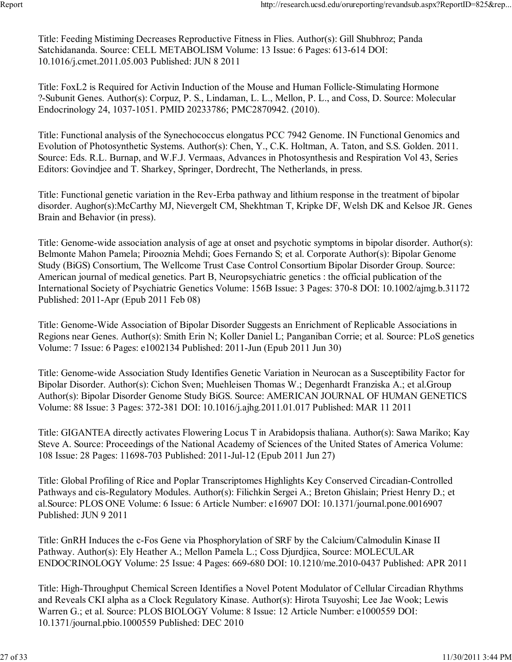Title: Feeding Mistiming Decreases Reproductive Fitness in Flies. Author(s): Gill Shubhroz; Panda Satchidananda. Source: CELL METABOLISM Volume: 13 Issue: 6 Pages: 613-614 DOI: 10.1016/j.cmet.2011.05.003 Published: JUN 8 2011

Title: FoxL2 is Required for Activin Induction of the Mouse and Human Follicle-Stimulating Hormone ?-Subunit Genes. Author(s): Corpuz, P. S., Lindaman, L. L., Mellon, P. L., and Coss, D. Source: Molecular Endocrinology 24, 1037-1051. PMID 20233786; PMC2870942. (2010).

Title: Functional analysis of the Synechococcus elongatus PCC 7942 Genome. IN Functional Genomics and Evolution of Photosynthetic Systems. Author(s): Chen, Y., C.K. Holtman, A. Taton, and S.S. Golden. 2011. Source: Eds. R.L. Burnap, and W.F.J. Vermaas, Advances in Photosynthesis and Respiration Vol 43, Series Editors: Govindjee and T. Sharkey, Springer, Dordrecht, The Netherlands, in press.

Title: Functional genetic variation in the Rev-Erba pathway and lithium response in the treatment of bipolar disorder. Aughor(s):McCarthy MJ, Nievergelt CM, Shekhtman T, Kripke DF, Welsh DK and Kelsoe JR. Genes Brain and Behavior (in press).

Title: Genome-wide association analysis of age at onset and psychotic symptoms in bipolar disorder. Author(s): Belmonte Mahon Pamela; Pirooznia Mehdi; Goes Fernando S; et al. Corporate Author(s): Bipolar Genome Study (BiGS) Consortium, The Wellcome Trust Case Control Consortium Bipolar Disorder Group. Source: American journal of medical genetics. Part B, Neuropsychiatric genetics : the official publication of the International Society of Psychiatric Genetics Volume: 156B Issue: 3 Pages: 370-8 DOI: 10.1002/ajmg.b.31172 Published: 2011-Apr (Epub 2011 Feb 08)

Title: Genome-Wide Association of Bipolar Disorder Suggests an Enrichment of Replicable Associations in Regions near Genes. Author(s): Smith Erin N; Koller Daniel L; Panganiban Corrie; et al. Source: PLoS genetics Volume: 7 Issue: 6 Pages: e1002134 Published: 2011-Jun (Epub 2011 Jun 30)

Title: Genome-wide Association Study Identifies Genetic Variation in Neurocan as a Susceptibility Factor for Bipolar Disorder. Author(s): Cichon Sven; Muehleisen Thomas W.; Degenhardt Franziska A.; et al.Group Author(s): Bipolar Disorder Genome Study BiGS. Source: AMERICAN JOURNAL OF HUMAN GENETICS Volume: 88 Issue: 3 Pages: 372-381 DOI: 10.1016/j.ajhg.2011.01.017 Published: MAR 11 2011

Title: GIGANTEA directly activates Flowering Locus T in Arabidopsis thaliana. Author(s): Sawa Mariko; Kay Steve A. Source: Proceedings of the National Academy of Sciences of the United States of America Volume: 108 Issue: 28 Pages: 11698-703 Published: 2011-Jul-12 (Epub 2011 Jun 27)

Title: Global Profiling of Rice and Poplar Transcriptomes Highlights Key Conserved Circadian-Controlled Pathways and cis-Regulatory Modules. Author(s): Filichkin Sergei A.; Breton Ghislain; Priest Henry D.; et al.Source: PLOS ONE Volume: 6 Issue: 6 Article Number: e16907 DOI: 10.1371/journal.pone.0016907 Published: JUN 9 2011

Title: GnRH Induces the c-Fos Gene via Phosphorylation of SRF by the Calcium/Calmodulin Kinase II Pathway. Author(s): Ely Heather A.; Mellon Pamela L.; Coss Djurdjica, Source: MOLECULAR ENDOCRINOLOGY Volume: 25 Issue: 4 Pages: 669-680 DOI: 10.1210/me.2010-0437 Published: APR 2011

Title: High-Throughput Chemical Screen Identifies a Novel Potent Modulator of Cellular Circadian Rhythms and Reveals CKI alpha as a Clock Regulatory Kinase. Author(s): Hirota Tsuyoshi; Lee Jae Wook; Lewis Warren G.; et al. Source: PLOS BIOLOGY Volume: 8 Issue: 12 Article Number: e1000559 DOI: 10.1371/journal.pbio.1000559 Published: DEC 2010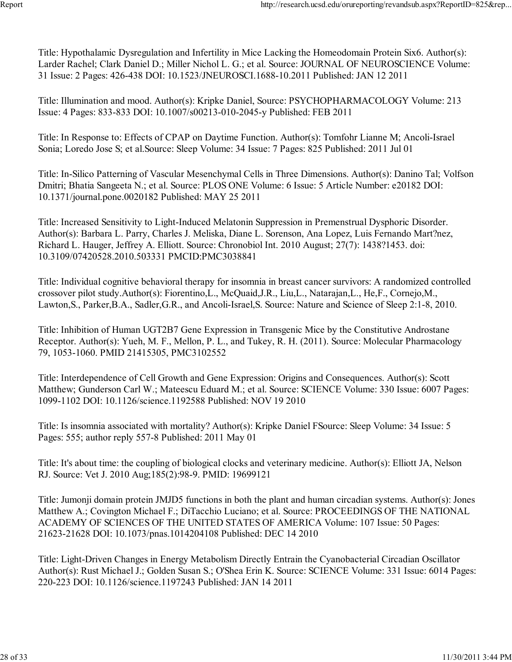Title: Hypothalamic Dysregulation and Infertility in Mice Lacking the Homeodomain Protein Six6. Author(s): Larder Rachel; Clark Daniel D.; Miller Nichol L. G.; et al. Source: JOURNAL OF NEUROSCIENCE Volume: 31 Issue: 2 Pages: 426-438 DOI: 10.1523/JNEUROSCI.1688-10.2011 Published: JAN 12 2011

Title: Illumination and mood. Author(s): Kripke Daniel, Source: PSYCHOPHARMACOLOGY Volume: 213 Issue: 4 Pages: 833-833 DOI: 10.1007/s00213-010-2045-y Published: FEB 2011

Title: In Response to: Effects of CPAP on Daytime Function. Author(s): Tomfohr Lianne M; Ancoli-Israel Sonia; Loredo Jose S; et al.Source: Sleep Volume: 34 Issue: 7 Pages: 825 Published: 2011 Jul 01

Title: In-Silico Patterning of Vascular Mesenchymal Cells in Three Dimensions. Author(s): Danino Tal; Volfson Dmitri; Bhatia Sangeeta N.; et al. Source: PLOS ONE Volume: 6 Issue: 5 Article Number: e20182 DOI: 10.1371/journal.pone.0020182 Published: MAY 25 2011

Title: Increased Sensitivity to Light-Induced Melatonin Suppression in Premenstrual Dysphoric Disorder. Author(s): Barbara L. Parry, Charles J. Meliska, Diane L. Sorenson, Ana Lopez, Luis Fernando Mart?nez, Richard L. Hauger, Jeffrey A. Elliott. Source: Chronobiol Int. 2010 August; 27(7): 1438?1453. doi: 10.3109/07420528.2010.503331 PMCID:PMC3038841

Title: Individual cognitive behavioral therapy for insomnia in breast cancer survivors: A randomized controlled crossover pilot study.Author(s): Fiorentino,L., McQuaid,J.R., Liu,L., Natarajan,L., He,F., Cornejo,M., Lawton,S., Parker,B.A., Sadler,G.R., and Ancoli-Israel,S. Source: Nature and Science of Sleep 2:1-8, 2010.

Title: Inhibition of Human UGT2B7 Gene Expression in Transgenic Mice by the Constitutive Androstane Receptor. Author(s): Yueh, M. F., Mellon, P. L., and Tukey, R. H. (2011). Source: Molecular Pharmacology 79, 1053-1060. PMID 21415305, PMC3102552

Title: Interdependence of Cell Growth and Gene Expression: Origins and Consequences. Author(s): Scott Matthew; Gunderson Carl W.; Mateescu Eduard M.; et al. Source: SCIENCE Volume: 330 Issue: 6007 Pages: 1099-1102 DOI: 10.1126/science.1192588 Published: NOV 19 2010

Title: Is insomnia associated with mortality? Author(s): Kripke Daniel FSource: Sleep Volume: 34 Issue: 5 Pages: 555; author reply 557-8 Published: 2011 May 01

Title: It's about time: the coupling of biological clocks and veterinary medicine. Author(s): Elliott JA, Nelson RJ. Source: Vet J. 2010 Aug;185(2):98-9. PMID: 19699121

Title: Jumonji domain protein JMJD5 functions in both the plant and human circadian systems. Author(s): Jones Matthew A.; Covington Michael F.; DiTacchio Luciano; et al. Source: PROCEEDINGS OF THE NATIONAL ACADEMY OF SCIENCES OF THE UNITED STATES OF AMERICA Volume: 107 Issue: 50 Pages: 21623-21628 DOI: 10.1073/pnas.1014204108 Published: DEC 14 2010

Title: Light-Driven Changes in Energy Metabolism Directly Entrain the Cyanobacterial Circadian Oscillator Author(s): Rust Michael J.; Golden Susan S.; O'Shea Erin K. Source: SCIENCE Volume: 331 Issue: 6014 Pages: 220-223 DOI: 10.1126/science.1197243 Published: JAN 14 2011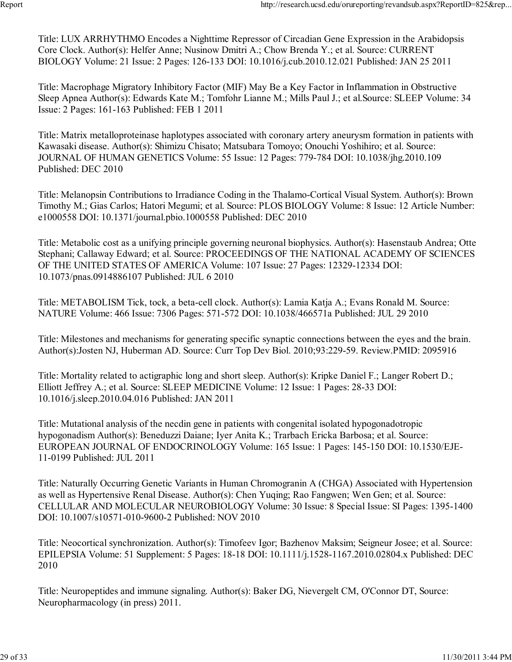Title: LUX ARRHYTHMO Encodes a Nighttime Repressor of Circadian Gene Expression in the Arabidopsis Core Clock. Author(s): Helfer Anne; Nusinow Dmitri A.; Chow Brenda Y.; et al. Source: CURRENT BIOLOGY Volume: 21 Issue: 2 Pages: 126-133 DOI: 10.1016/j.cub.2010.12.021 Published: JAN 25 2011

Title: Macrophage Migratory Inhibitory Factor (MIF) May Be a Key Factor in Inflammation in Obstructive Sleep Apnea Author(s): Edwards Kate M.; Tomfohr Lianne M.; Mills Paul J.; et al.Source: SLEEP Volume: 34 Issue: 2 Pages: 161-163 Published: FEB 1 2011

Title: Matrix metalloproteinase haplotypes associated with coronary artery aneurysm formation in patients with Kawasaki disease. Author(s): Shimizu Chisato; Matsubara Tomoyo; Onouchi Yoshihiro; et al. Source: JOURNAL OF HUMAN GENETICS Volume: 55 Issue: 12 Pages: 779-784 DOI: 10.1038/jhg.2010.109 Published: DEC 2010

Title: Melanopsin Contributions to Irradiance Coding in the Thalamo-Cortical Visual System. Author(s): Brown Timothy M.; Gias Carlos; Hatori Megumi; et al. Source: PLOS BIOLOGY Volume: 8 Issue: 12 Article Number: e1000558 DOI: 10.1371/journal.pbio.1000558 Published: DEC 2010

Title: Metabolic cost as a unifying principle governing neuronal biophysics. Author(s): Hasenstaub Andrea; Otte Stephani; Callaway Edward; et al. Source: PROCEEDINGS OF THE NATIONAL ACADEMY OF SCIENCES OF THE UNITED STATES OF AMERICA Volume: 107 Issue: 27 Pages: 12329-12334 DOI: 10.1073/pnas.0914886107 Published: JUL 6 2010

Title: METABOLISM Tick, tock, a beta-cell clock. Author(s): Lamia Katja A.; Evans Ronald M. Source: NATURE Volume: 466 Issue: 7306 Pages: 571-572 DOI: 10.1038/466571a Published: JUL 29 2010

Title: Milestones and mechanisms for generating specific synaptic connections between the eyes and the brain. Author(s):Josten NJ, Huberman AD. Source: Curr Top Dev Biol. 2010;93:229-59. Review.PMID: 2095916

Title: Mortality related to actigraphic long and short sleep. Author(s): Kripke Daniel F.; Langer Robert D.; Elliott Jeffrey A.; et al. Source: SLEEP MEDICINE Volume: 12 Issue: 1 Pages: 28-33 DOI: 10.1016/j.sleep.2010.04.016 Published: JAN 2011

Title: Mutational analysis of the necdin gene in patients with congenital isolated hypogonadotropic hypogonadism Author(s): Beneduzzi Daiane; Iyer Anita K.; Trarbach Ericka Barbosa; et al. Source: EUROPEAN JOURNAL OF ENDOCRINOLOGY Volume: 165 Issue: 1 Pages: 145-150 DOI: 10.1530/EJE-11-0199 Published: JUL 2011

Title: Naturally Occurring Genetic Variants in Human Chromogranin A (CHGA) Associated with Hypertension as well as Hypertensive Renal Disease. Author(s): Chen Yuqing; Rao Fangwen; Wen Gen; et al. Source: CELLULAR AND MOLECULAR NEUROBIOLOGY Volume: 30 Issue: 8 Special Issue: SI Pages: 1395-1400 DOI: 10.1007/s10571-010-9600-2 Published: NOV 2010

Title: Neocortical synchronization. Author(s): Timofeev Igor; Bazhenov Maksim; Seigneur Josee; et al. Source: EPILEPSIA Volume: 51 Supplement: 5 Pages: 18-18 DOI: 10.1111/j.1528-1167.2010.02804.x Published: DEC 2010

Title: Neuropeptides and immune signaling. Author(s): Baker DG, Nievergelt CM, O'Connor DT, Source: Neuropharmacology (in press) 2011.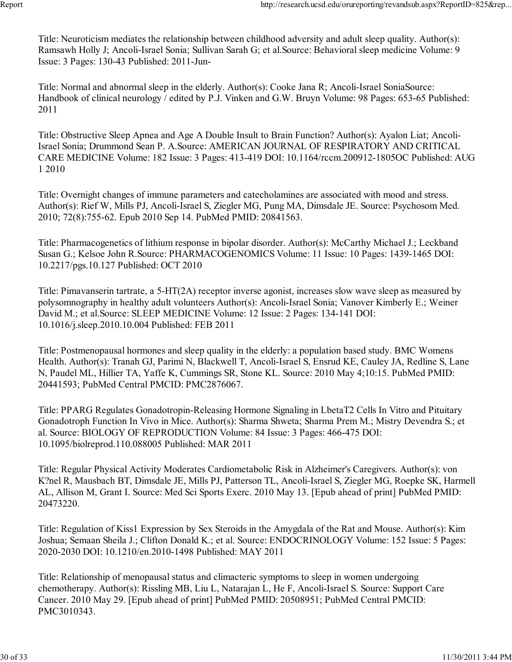Title: Neuroticism mediates the relationship between childhood adversity and adult sleep quality. Author(s): Ramsawh Holly J; Ancoli-Israel Sonia; Sullivan Sarah G; et al.Source: Behavioral sleep medicine Volume: 9 Issue: 3 Pages: 130-43 Published: 2011-Jun-

Title: Normal and abnormal sleep in the elderly. Author(s): Cooke Jana R; Ancoli-Israel SoniaSource: Handbook of clinical neurology / edited by P.J. Vinken and G.W. Bruyn Volume: 98 Pages: 653-65 Published: 2011

Title: Obstructive Sleep Apnea and Age A Double Insult to Brain Function? Author(s): Ayalon Liat; Ancoli-Israel Sonia; Drummond Sean P. A.Source: AMERICAN JOURNAL OF RESPIRATORY AND CRITICAL CARE MEDICINE Volume: 182 Issue: 3 Pages: 413-419 DOI: 10.1164/rccm.200912-1805OC Published: AUG 1 2010

Title: Overnight changes of immune parameters and catecholamines are associated with mood and stress. Author(s): Rief W, Mills PJ, Ancoli-Israel S, Ziegler MG, Pung MA, Dimsdale JE. Source: Psychosom Med. 2010; 72(8):755-62. Epub 2010 Sep 14. PubMed PMID: 20841563.

Title: Pharmacogenetics of lithium response in bipolar disorder. Author(s): McCarthy Michael J.; Leckband Susan G.; Kelsoe John R.Source: PHARMACOGENOMICS Volume: 11 Issue: 10 Pages: 1439-1465 DOI: 10.2217/pgs.10.127 Published: OCT 2010

Title: Pimavanserin tartrate, a 5-HT(2A) receptor inverse agonist, increases slow wave sleep as measured by polysomnography in healthy adult volunteers Author(s): Ancoli-Israel Sonia; Vanover Kimberly E.; Weiner David M.; et al.Source: SLEEP MEDICINE Volume: 12 Issue: 2 Pages: 134-141 DOI: 10.1016/j.sleep.2010.10.004 Published: FEB 2011

Title: Postmenopausal hormones and sleep quality in the elderly: a population based study. BMC Womens Health. Author(s): Tranah GJ, Parimi N, Blackwell T, Ancoli-Israel S, Ensrud KE, Cauley JA, Redline S, Lane N, Paudel ML, Hillier TA, Yaffe K, Cummings SR, Stone KL. Source: 2010 May 4;10:15. PubMed PMID: 20441593; PubMed Central PMCID: PMC2876067.

Title: PPARG Regulates Gonadotropin-Releasing Hormone Signaling in LbetaT2 Cells In Vitro and Pituitary Gonadotroph Function In Vivo in Mice. Author(s): Sharma Shweta; Sharma Prem M.; Mistry Devendra S.; et al. Source: BIOLOGY OF REPRODUCTION Volume: 84 Issue: 3 Pages: 466-475 DOI: 10.1095/biolreprod.110.088005 Published: MAR 2011

Title: Regular Physical Activity Moderates Cardiometabolic Risk in Alzheimer's Caregivers. Author(s): von K?nel R, Mausbach BT, Dimsdale JE, Mills PJ, Patterson TL, Ancoli-Israel S, Ziegler MG, Roepke SK, Harmell AL, Allison M, Grant I. Source: Med Sci Sports Exerc. 2010 May 13. [Epub ahead of print] PubMed PMID: 20473220.

Title: Regulation of Kiss1 Expression by Sex Steroids in the Amygdala of the Rat and Mouse. Author(s): Kim Joshua; Semaan Sheila J.; Clifton Donald K.; et al. Source: ENDOCRINOLOGY Volume: 152 Issue: 5 Pages: 2020-2030 DOI: 10.1210/en.2010-1498 Published: MAY 2011

Title: Relationship of menopausal status and climacteric symptoms to sleep in women undergoing chemotherapy. Author(s): Rissling MB, Liu L, Natarajan L, He F, Ancoli-Israel S. Source: Support Care Cancer. 2010 May 29. [Epub ahead of print] PubMed PMID: 20508951; PubMed Central PMCID: PMC3010343.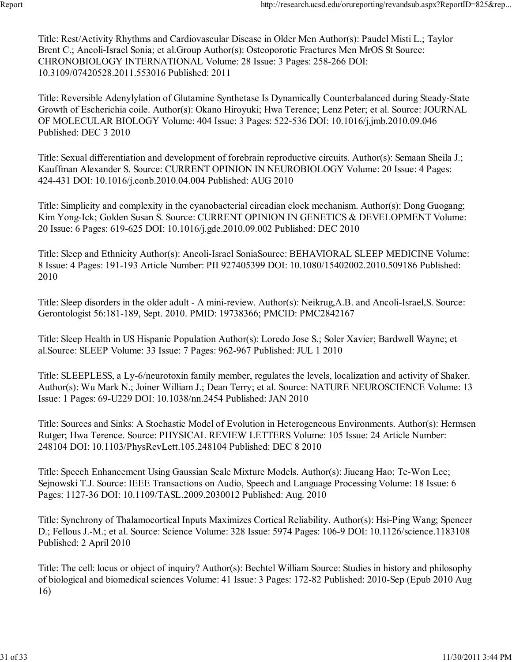Title: Rest/Activity Rhythms and Cardiovascular Disease in Older Men Author(s): Paudel Misti L.; Taylor Brent C.; Ancoli-Israel Sonia; et al.Group Author(s): Osteoporotic Fractures Men MrOS St Source: CHRONOBIOLOGY INTERNATIONAL Volume: 28 Issue: 3 Pages: 258-266 DOI: 10.3109/07420528.2011.553016 Published: 2011

Title: Reversible Adenylylation of Glutamine Synthetase Is Dynamically Counterbalanced during Steady-State Growth of Escherichia coile. Author(s): Okano Hiroyuki; Hwa Terence; Lenz Peter; et al. Source: JOURNAL OF MOLECULAR BIOLOGY Volume: 404 Issue: 3 Pages: 522-536 DOI: 10.1016/j.jmb.2010.09.046 Published: DEC 3 2010

Title: Sexual differentiation and development of forebrain reproductive circuits. Author(s): Semaan Sheila J.; Kauffman Alexander S. Source: CURRENT OPINION IN NEUROBIOLOGY Volume: 20 Issue: 4 Pages: 424-431 DOI: 10.1016/j.conb.2010.04.004 Published: AUG 2010

Title: Simplicity and complexity in the cyanobacterial circadian clock mechanism. Author(s): Dong Guogang; Kim Yong-Ick; Golden Susan S. Source: CURRENT OPINION IN GENETICS & DEVELOPMENT Volume: 20 Issue: 6 Pages: 619-625 DOI: 10.1016/j.gde.2010.09.002 Published: DEC 2010

Title: Sleep and Ethnicity Author(s): Ancoli-Israel SoniaSource: BEHAVIORAL SLEEP MEDICINE Volume: 8 Issue: 4 Pages: 191-193 Article Number: PII 927405399 DOI: 10.1080/15402002.2010.509186 Published: 2010

Title: Sleep disorders in the older adult - A mini-review. Author(s): Neikrug,A.B. and Ancoli-Israel,S. Source: Gerontologist 56:181-189, Sept. 2010. PMID: 19738366; PMCID: PMC2842167

Title: Sleep Health in US Hispanic Population Author(s): Loredo Jose S.; Soler Xavier; Bardwell Wayne; et al.Source: SLEEP Volume: 33 Issue: 7 Pages: 962-967 Published: JUL 1 2010

Title: SLEEPLESS, a Ly-6/neurotoxin family member, regulates the levels, localization and activity of Shaker. Author(s): Wu Mark N.; Joiner William J.; Dean Terry; et al. Source: NATURE NEUROSCIENCE Volume: 13 Issue: 1 Pages: 69-U229 DOI: 10.1038/nn.2454 Published: JAN 2010

Title: Sources and Sinks: A Stochastic Model of Evolution in Heterogeneous Environments. Author(s): Hermsen Rutger; Hwa Terence. Source: PHYSICAL REVIEW LETTERS Volume: 105 Issue: 24 Article Number: 248104 DOI: 10.1103/PhysRevLett.105.248104 Published: DEC 8 2010

Title: Speech Enhancement Using Gaussian Scale Mixture Models. Author(s): Jiucang Hao; Te-Won Lee; Sejnowski T.J. Source: IEEE Transactions on Audio, Speech and Language Processing Volume: 18 Issue: 6 Pages: 1127-36 DOI: 10.1109/TASL.2009.2030012 Published: Aug. 2010

Title: Synchrony of Thalamocortical Inputs Maximizes Cortical Reliability. Author(s): Hsi-Ping Wang; Spencer D.; Fellous J.-M.; et al. Source: Science Volume: 328 Issue: 5974 Pages: 106-9 DOI: 10.1126/science.1183108 Published: 2 April 2010

Title: The cell: locus or object of inquiry? Author(s): Bechtel William Source: Studies in history and philosophy of biological and biomedical sciences Volume: 41 Issue: 3 Pages: 172-82 Published: 2010-Sep (Epub 2010 Aug 16)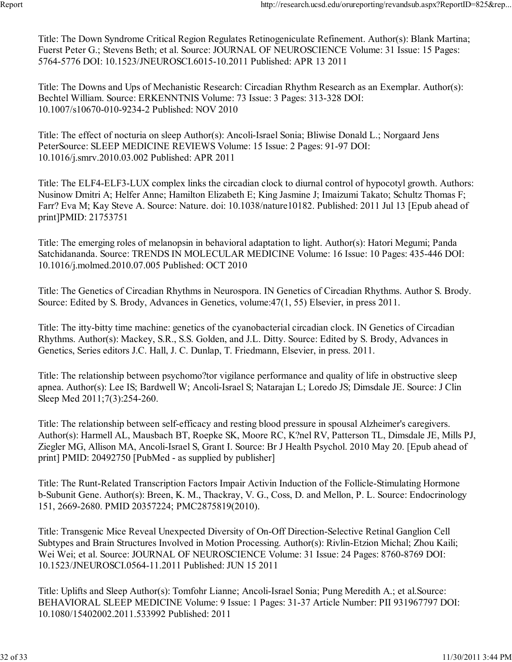Title: The Down Syndrome Critical Region Regulates Retinogeniculate Refinement. Author(s): Blank Martina; Fuerst Peter G.; Stevens Beth; et al. Source: JOURNAL OF NEUROSCIENCE Volume: 31 Issue: 15 Pages: 5764-5776 DOI: 10.1523/JNEUROSCI.6015-10.2011 Published: APR 13 2011

Title: The Downs and Ups of Mechanistic Research: Circadian Rhythm Research as an Exemplar. Author(s): Bechtel William. Source: ERKENNTNIS Volume: 73 Issue: 3 Pages: 313-328 DOI: 10.1007/s10670-010-9234-2 Published: NOV 2010

Title: The effect of nocturia on sleep Author(s): Ancoli-Israel Sonia; Bliwise Donald L.; Norgaard Jens PeterSource: SLEEP MEDICINE REVIEWS Volume: 15 Issue: 2 Pages: 91-97 DOI: 10.1016/j.smrv.2010.03.002 Published: APR 2011

Title: The ELF4-ELF3-LUX complex links the circadian clock to diurnal control of hypocotyl growth. Authors: Nusinow Dmitri A; Helfer Anne; Hamilton Elizabeth E; King Jasmine J; Imaizumi Takato; Schultz Thomas F; Farr? Eva M; Kay Steve A. Source: Nature. doi: 10.1038/nature10182. Published: 2011 Jul 13 [Epub ahead of print]PMID: 21753751

Title: The emerging roles of melanopsin in behavioral adaptation to light. Author(s): Hatori Megumi; Panda Satchidananda. Source: TRENDS IN MOLECULAR MEDICINE Volume: 16 Issue: 10 Pages: 435-446 DOI: 10.1016/j.molmed.2010.07.005 Published: OCT 2010

Title: The Genetics of Circadian Rhythms in Neurospora. IN Genetics of Circadian Rhythms. Author S. Brody. Source: Edited by S. Brody, Advances in Genetics, volume:47(1, 55) Elsevier, in press 2011.

Title: The itty-bitty time machine: genetics of the cyanobacterial circadian clock. IN Genetics of Circadian Rhythms. Author(s): Mackey, S.R., S.S. Golden, and J.L. Ditty. Source: Edited by S. Brody, Advances in Genetics, Series editors J.C. Hall, J. C. Dunlap, T. Friedmann, Elsevier, in press. 2011.

Title: The relationship between psychomo?tor vigilance performance and quality of life in obstructive sleep apnea. Author(s): Lee IS; Bardwell W; Ancoli-Israel S; Natarajan L; Loredo JS; Dimsdale JE. Source: J Clin Sleep Med 2011;7(3):254-260.

Title: The relationship between self-efficacy and resting blood pressure in spousal Alzheimer's caregivers. Author(s): Harmell AL, Mausbach BT, Roepke SK, Moore RC, K?nel RV, Patterson TL, Dimsdale JE, Mills PJ, Ziegler MG, Allison MA, Ancoli-Israel S, Grant I. Source: Br J Health Psychol. 2010 May 20. [Epub ahead of print] PMID: 20492750 [PubMed - as supplied by publisher]

Title: The Runt-Related Transcription Factors Impair Activin Induction of the Follicle-Stimulating Hormone b-Subunit Gene. Author(s): Breen, K. M., Thackray, V. G., Coss, D. and Mellon, P. L. Source: Endocrinology 151, 2669-2680. PMID 20357224; PMC2875819(2010).

Title: Transgenic Mice Reveal Unexpected Diversity of On-Off Direction-Selective Retinal Ganglion Cell Subtypes and Brain Structures Involved in Motion Processing. Author(s): Rivlin-Etzion Michal; Zhou Kaili; Wei Wei; et al. Source: JOURNAL OF NEUROSCIENCE Volume: 31 Issue: 24 Pages: 8760-8769 DOI: 10.1523/JNEUROSCI.0564-11.2011 Published: JUN 15 2011

Title: Uplifts and Sleep Author(s): Tomfohr Lianne; Ancoli-Israel Sonia; Pung Meredith A.; et al.Source: BEHAVIORAL SLEEP MEDICINE Volume: 9 Issue: 1 Pages: 31-37 Article Number: PII 931967797 DOI: 10.1080/15402002.2011.533992 Published: 2011